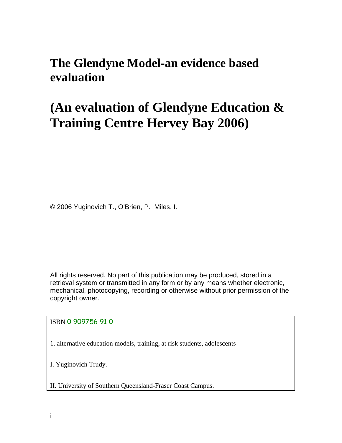# **The Glendyne Model-an evidence based evaluation**

# **(An evaluation of Glendyne Education & Training Centre Hervey Bay 2006)**

© 2006 Yuginovich T., O'Brien, P. Miles, I.

All rights reserved. No part of this publication may be produced, stored in a retrieval system or transmitted in any form or by any means whether electronic, mechanical, photocopying, recording or otherwise without prior permission of the copyright owner.

ISBN 0 909756 91 0

1. alternative education models, training, at risk students, adolescents

I. Yuginovich Trudy.

II. University of Southern Queensland-Fraser Coast Campus.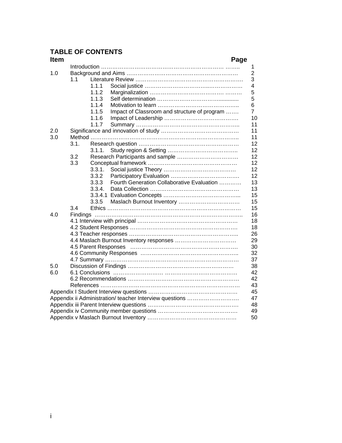# **TABLE OF CONTENTS**

| <b>Item</b> |                                                         | Page |  |  |  |  |
|-------------|---------------------------------------------------------|------|--|--|--|--|
|             |                                                         |      |  |  |  |  |
| 1.0         |                                                         |      |  |  |  |  |
|             | 1.1                                                     |      |  |  |  |  |
|             | 1.1.1                                                   |      |  |  |  |  |
|             | 1.1.2                                                   |      |  |  |  |  |
|             | 1.1.3                                                   |      |  |  |  |  |
|             | 1.1.4                                                   |      |  |  |  |  |
|             | 1.1.5<br>Impact of Classroom and structure of program   |      |  |  |  |  |
|             | 1.1.6                                                   |      |  |  |  |  |
|             | 1.1.7                                                   |      |  |  |  |  |
| 2.0         |                                                         |      |  |  |  |  |
| 3.0         |                                                         |      |  |  |  |  |
|             | 3.1.                                                    |      |  |  |  |  |
|             | 3.1.1.                                                  |      |  |  |  |  |
|             | 3.2                                                     |      |  |  |  |  |
|             | 3.3                                                     |      |  |  |  |  |
|             | 3.3.1.                                                  |      |  |  |  |  |
|             | 3.3.2                                                   |      |  |  |  |  |
|             | Fourth Generation Collaborative Evaluation<br>3.3.3     |      |  |  |  |  |
|             | 3.3.4.                                                  |      |  |  |  |  |
|             | 3.3.4.1                                                 |      |  |  |  |  |
|             | 3.3.5                                                   |      |  |  |  |  |
|             | 3.4                                                     |      |  |  |  |  |
| 4.0         |                                                         |      |  |  |  |  |
|             |                                                         |      |  |  |  |  |
|             |                                                         |      |  |  |  |  |
|             |                                                         |      |  |  |  |  |
|             |                                                         |      |  |  |  |  |
|             |                                                         |      |  |  |  |  |
|             |                                                         |      |  |  |  |  |
|             |                                                         |      |  |  |  |  |
| 5.0         |                                                         |      |  |  |  |  |
| 6.0         |                                                         |      |  |  |  |  |
|             |                                                         |      |  |  |  |  |
|             |                                                         |      |  |  |  |  |
|             |                                                         |      |  |  |  |  |
|             | Appendix ii Administration/ teacher Interview questions |      |  |  |  |  |
|             |                                                         |      |  |  |  |  |
|             |                                                         |      |  |  |  |  |
|             |                                                         |      |  |  |  |  |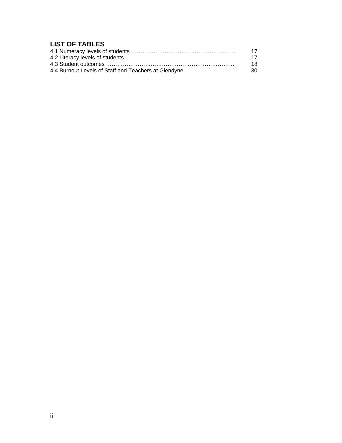# **LIST OF TABLES**

| -17  |
|------|
| - 17 |
| -18  |
|      |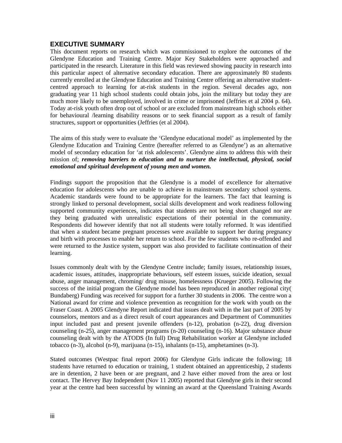# **EXECUTIVE SUMMARY**

This document reports on research which was commissioned to explore the outcomes of the Glendyne Education and Training Centre. Major Key Stakeholders were approached and participated in the research. Literature in this field was reviewed showing paucity in research into this particular aspect of alternative secondary education. There are approximately 80 students currently enrolled at the Glendyne Education and Training Centre offering an alternative studentcentred approach to learning for at-risk students in the region. Several decades ago, non graduating year 11 high school students could obtain jobs, join the military but today they are much more likely to be unemployed, involved in crime or imprisoned (Jeffries et al 2004 p. 64). Today at-risk youth often drop out of school or are excluded from mainstream high schools either for behavioural /learning disability reasons or to seek financial support as a result of family structures, support or opportunities (Jeffries (et al 2004).

The aims of this study were to evaluate the 'Glendyne educational model' as implemented by the Glendyne Education and Training Centre (hereafter referred to as Glendyne') as an alternative model of secondary education for 'at risk adolescents'. Glendyne aims to address this with their mission of; *removing barriers to education and to nurture the intellectual, physical, social emotional and spiritual development of young men and women.* 

Findings support the proposition that the Glendyne is a model of excellence for alternative education for adolescents who are unable to achieve in mainstream secondary school systems. Academic standards were found to be appropriate for the learners. The fact that learning is strongly linked to personal development, social skills development and work readiness following supported community experiences, indicates that students are not being short changed nor are they being graduated with unrealistic expectations of their potential in the community. Respondents did however identify that not all students were totally reformed. It was identified that when a student became pregnant processes were available to support her during pregnancy and birth with processes to enable her return to school. For the few students who re-offended and were returned to the Justice system, support was also provided to facilitate continuation of their learning.

Issues commonly dealt with by the Glendyne Centre include; family issues, relationship issues, academic issues, attitudes, inappropriate behaviours, self esteem issues, suicide ideation, sexual abuse, anger management, chroming/ drug misuse, homelessness (Krueger 2005). Following the success of the initial program the Glendyne model has been reproduced in another regional city( Bundaberg) Funding was received for support for a further 30 students in 2006. The centre won a National award for crime and violence prevention as recognition for the work with youth on the Fraser Coast. A 2005 Glendyne Report indicated that issues dealt with in the last part of 2005 by counselors, mentors and as a direct result of court appearances and Department of Communities input included past and present juvenile offenders (n-12), probation (n-22), drug diversion counseling (n-25), anger management programs (n-20) counseling (n-16). Major substance abuse counseling dealt with by the ATODS (In full) Drug Rehabilitation worker at Glendyne included tobacco (n-3), alcohol (n-9), marijuana (n-15), inhalants (n-15), amphetamines (n-3).

Stated outcomes (Westpac final report 2006) for Glendyne Girls indicate the following; 18 students have returned to education or training, 1 student obtained an apprenticeship, 2 students are in detention, 2 have been or are pregnant, and 2 have either moved from the area or lost contact. The Hervey Bay Independent (Nov 11 2005) reported that Glendyne girls in their second year at the centre had been successful by winning an award at the Queensland Training Awards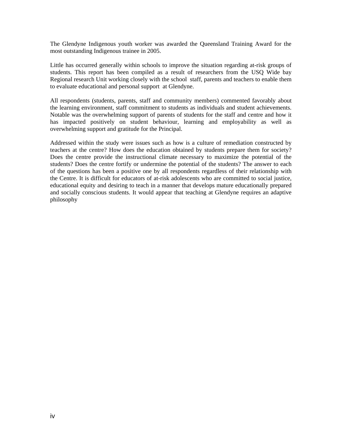The Glendyne Indigenous youth worker was awarded the Queensland Training Award for the most outstanding Indigenous trainee in 2005.

Little has occurred generally within schools to improve the situation regarding at-risk groups of students. This report has been compiled as a result of researchers from the USQ Wide bay Regional research Unit working closely with the school staff, parents and teachers to enable them to evaluate educational and personal support at Glendyne.

All respondents (students, parents, staff and community members) commented favorably about the learning environment, staff commitment to students as individuals and student achievements. Notable was the overwhelming support of parents of students for the staff and centre and how it has impacted positively on student behaviour, learning and employability as well as overwhelming support and gratitude for the Principal.

Addressed within the study were issues such as how is a culture of remediation constructed by teachers at the centre? How does the education obtained by students prepare them for society? Does the centre provide the instructional climate necessary to maximize the potential of the students? Does the centre fortify or undermine the potential of the students? The answer to each of the questions has been a positive one by all respondents regardless of their relationship with the Centre. It is difficult for educators of at-risk adolescents who are committed to social justice, educational equity and desiring to teach in a manner that develops mature educationally prepared and socially conscious students. It would appear that teaching at Glendyne requires an adaptive philosophy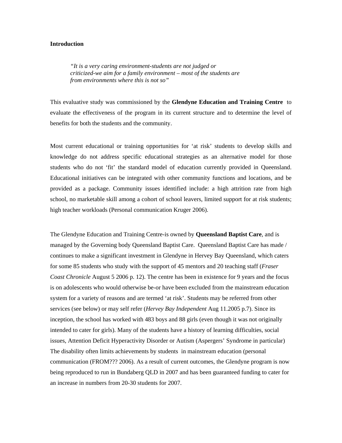#### **Introduction**

*"It is a very caring environment-students are not judged or criticized-we aim for a family environment – most of the students are from environments where this is not so"* 

This evaluative study was commissioned by the **Glendyne Education and Training Centre** to evaluate the effectiveness of the program in its current structure and to determine the level of benefits for both the students and the community.

Most current educational or training opportunities for 'at risk' students to develop skills and knowledge do not address specific educational strategies as an alternative model for those students who do not 'fit' the standard model of education currently provided in Queensland. Educational initiatives can be integrated with other community functions and locations, and be provided as a package. Community issues identified include: a high attrition rate from high school, no marketable skill among a cohort of school leavers, limited support for at risk students; high teacher workloads (Personal communication Kruger 2006).

The Glendyne Education and Training Centre-is owned by **Queensland Baptist Care**, and is managed by the Governing body Queensland Baptist Care. Queensland Baptist Care has made / continues to make a significant investment in Glendyne in Hervey Bay Queensland, which caters for some 85 students who study with the support of 45 mentors and 20 teaching staff (*Fraser Coast Chronicle* August 5 2006 p. 12). The centre has been in existence for 9 years and the focus is on adolescents who would otherwise be-or have been excluded from the mainstream education system for a variety of reasons and are termed 'at risk'. Students may be referred from other services (see below) or may self refer (*Hervey Bay Independent* Aug 11.2005 p.7). Since its inception, the school has worked with 483 boys and 88 girls (even though it was not originally intended to cater for girls). Many of the students have a history of learning difficulties, social issues, Attention Deficit Hyperactivity Disorder or Autism (Aspergers' Syndrome in particular) The disability often limits achievements by students in mainstream education (personal communication (FROM??? 2006). As a result of current outcomes, the Glendyne program is now being reproduced to run in Bundaberg QLD in 2007 and has been guaranteed funding to cater for an increase in numbers from 20-30 students for 2007.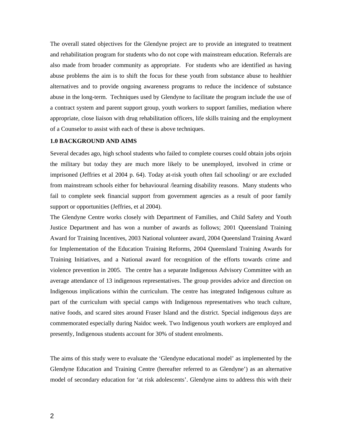The overall stated objectives for the Glendyne project are to provide an integrated to treatment and rehabilitation program for students who do not cope with mainstream education. Referrals are also made from broader community as appropriate. For students who are identified as having abuse problems the aim is to shift the focus for these youth from substance abuse to healthier alternatives and to provide ongoing awareness programs to reduce the incidence of substance abuse in the long-term. Techniques used by Glendyne to facilitate the program include the use of a contract system and parent support group, youth workers to support families, mediation where appropriate, close liaison with drug rehabilitation officers, life skills training and the employment of a Counselor to assist with each of these is above techniques.

## **1.0 BACKGROUND AND AIMS**

Several decades ago, high school students who failed to complete courses could obtain jobs orjoin the military but today they are much more likely to be unemployed, involved in crime or imprisoned (Jeffries et al 2004 p. 64). Today at-risk youth often fail schooling/ or are excluded from mainstream schools either for behavioural /learning disability reasons. Many students who fail to complete seek financial support from government agencies as a result of poor family support or opportunities (Jeffries, et al 2004).

The Glendyne Centre works closely with Department of Families, and Child Safety and Youth Justice Department and has won a number of awards as follows; 2001 Queensland Training Award for Training Incentives, 2003 National volunteer award, 2004 Queensland Training Award for Implementation of the Education Training Reforms, 2004 Queensland Training Awards for Training Initiatives, and a National award for recognition of the efforts towards crime and violence prevention in 2005. The centre has a separate Indigenous Advisory Committee with an average attendance of 13 indigenous representatives. The group provides advice and direction on Indigenous implications within the curriculum. The centre has integrated Indigenous culture as part of the curriculum with special camps with Indigenous representatives who teach culture, native foods, and scared sites around Fraser Island and the district. Special indigenous days are commemorated especially during Naidoc week. Two Indigenous youth workers are employed and presently, Indigenous students account for 30% of student enrolments.

The aims of this study were to evaluate the 'Glendyne educational model' as implemented by the Glendyne Education and Training Centre (hereafter referred to as Glendyne') as an alternative model of secondary education for 'at risk adolescents'. Glendyne aims to address this with their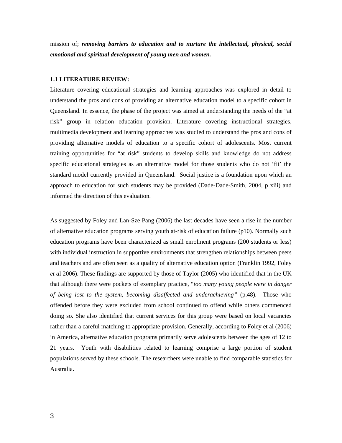mission of; *removing barriers to education and to nurture the intellectual, physical, social emotional and spiritual development of young men and women.*

#### **1.1 LITERATURE REVIEW:**

Literature covering educational strategies and learning approaches was explored in detail to understand the pros and cons of providing an alternative education model to a specific cohort in Queensland. In essence, the phase of the project was aimed at understanding the needs of the "at risk" group in relation education provision. Literature covering instructional strategies, multimedia development and learning approaches was studied to understand the pros and cons of providing alternative models of education to a specific cohort of adolescents. Most current training opportunities for "at risk" students to develop skills and knowledge do not address specific educational strategies as an alternative model for those students who do not 'fit' the standard model currently provided in Queensland. Social justice is a foundation upon which an approach to education for such students may be provided (Dade-Dade-Smith, 2004, p xiii) and informed the direction of this evaluation.

As suggested by Foley and Lan-Sze Pang (2006) the last decades have seen a rise in the number of alternative education programs serving youth at-risk of education failure (p10). Normally such education programs have been characterized as small enrolment programs (200 students or less) with individual instruction in supportive environments that strengthen relationships between peers and teachers and are often seen as a quality of alternative education option (Franklin 1992, Foley *et a*l 2006). These findings are supported by those of Taylor (2005) who identified that in the UK that although there were pockets of exemplary practice, "*too many young people were in danger of being lost to the system, becoming disaffected and underachieving"* (p.48). Those who offended before they were excluded from school continued to offend while others commenced doing so. She also identified that current services for this group were based on local vacancies rather than a careful matching to appropriate provision. Generally, according to Foley et al (2006) in America, alternative education programs primarily serve adolescents between the ages of 12 to 21 years. Youth with disabilities related to learning comprise a large portion of student populations served by these schools. The researchers were unable to find comparable statistics for Australia.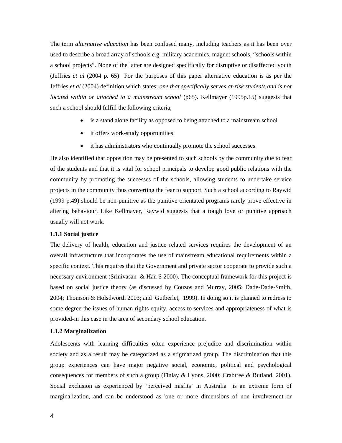The term *alternative education* has been confused many, including teachers as it has been over used to describe a broad array of schools e.g. military academies, magnet schools, "schools within a school projects". None of the latter are designed specifically for disruptive or disaffected youth (Jeffries *et al* (2004 p. 65) For the purposes of this paper alternative education is as per the Jeffries *et al* (2004) definition which states; *one that specifically serves at-risk students and is not located within or attached to a mainstream school* (p65). Kellmayer (1995p.15) suggests that such a school should fulfill the following criteria;

- is a stand alone facility as opposed to being attached to a mainstream school
- it offers work-study opportunities
- it has administrators who continually promote the school successes.

He also identified that opposition may be presented to such schools by the community due to fear of the students and that it is vital for school principals to develop good public relations with the community by promoting the successes of the schools, allowing students to undertake service projects in the community thus converting the fear to support. Such a school according to Raywid (1999 p.49) should be non-punitive as the punitive orientated programs rarely prove effective in altering behaviour. Like Kellmayer, Raywid suggests that a tough love or punitive approach usually will not work.

## **1.1.1 Social justice**

The delivery of health, education and justice related services requires the development of an overall infrastructure that incorporates the use of mainstream educational requirements within a specific context. This requires that the Government and private sector cooperate to provide such a necessary environment (Srinivasan & Han S 2000). The conceptual framework for this project is based on social justice theory (as discussed by Couzos and Murray, 2005; Dade-Dade-Smith, 2004; Thomson & Holsdworth 2003; and Gutberlet, 1999). In doing so it is planned to redress to some degree the issues of human rights equity, access to services and appropriateness of what is provided-in this case in the area of secondary school education.

#### **1.1.2 Marginalization**

Adolescents with learning difficulties often experience prejudice and discrimination within society and as a result may be categorized as a stigmatized group. The discrimination that this group experiences can have major negative social, economic, political and psychological consequences for members of such a group (Finlay & Lyons, 2000; Crabtree & Rutland, 2001). Social exclusion as experienced by 'perceived misfits' in Australia is an extreme form of marginalization, and can be understood as 'one or more dimensions of non involvement or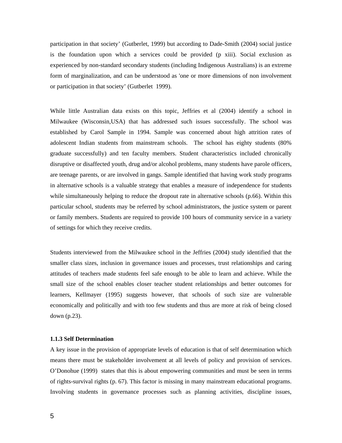participation in that society' (Gutberlet, 1999) but according to Dade-Smith (2004) social justice is the foundation upon which a services could be provided (p xiii). Social exclusion as experienced by non-standard secondary students (including Indigenous Australians) is an extreme form of marginalization, and can be understood as 'one or more dimensions of non involvement or participation in that society' (Gutberlet 1999).

While little Australian data exists on this topic, Jeffries et al (2004) identify a school in Milwaukee (Wisconsin,USA) that has addressed such issues successfully. The school was established by Carol Sample in 1994. Sample was concerned about high attrition rates of adolescent Indian students from mainstream schools. The school has eighty students (80% graduate successfully) and ten faculty members. Student characteristics included chronically disruptive or disaffected youth, drug and/or alcohol problems, many students have parole officers, are teenage parents, or are involved in gangs. Sample identified that having work study programs in alternative schools is a valuable strategy that enables a measure of independence for students while simultaneously helping to reduce the dropout rate in alternative schools (p.66). Within this particular school, students may be referred by school administrators, the justice system or parent or family members. Students are required to provide 100 hours of community service in a variety of settings for which they receive credits.

Students interviewed from the Milwaukee school in the Jeffries (2004) study identified that the smaller class sizes, inclusion in governance issues and processes, trust relationships and caring attitudes of teachers made students feel safe enough to be able to learn and achieve. While the small size of the school enables closer teacher student relationships and better outcomes for learners, Kellmayer (1995) suggests however, that schools of such size are vulnerable economically and politically and with too few students and thus are more at risk of being closed down (p.23).

#### **1.1.3 Self Determination**

A key issue in the provision of appropriate levels of education is that of self determination which means there must be stakeholder involvement at all levels of policy and provision of services. O'Donohue (1999) states that this is about empowering communities and must be seen in terms of rights-survival rights (p. 67). This factor is missing in many mainstream educational programs. Involving students in governance processes such as planning activities, discipline issues,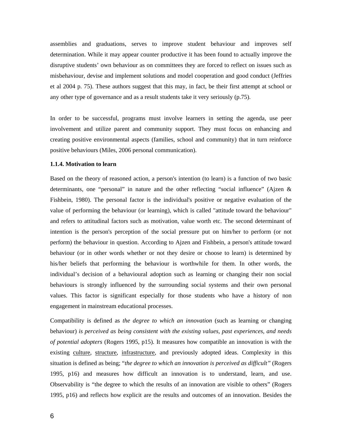assemblies and graduations, serves to improve student behaviour and improves self determination. While it may appear counter productive it has been found to actually improve the disruptive students' own behaviour as on committees they are forced to reflect on issues such as misbehaviour, devise and implement solutions and model cooperation and good conduct (Jeffries et al 2004 p. 75). These authors suggest that this may, in fact, be their first attempt at school or any other type of governance and as a result students take it very seriously (p.75).

In order to be successful, programs must involve learners in setting the agenda, use peer involvement and utilize parent and community support. They must focus on enhancing and creating positive environmental aspects (families, school and community) that in turn reinforce positive behaviours (Miles, 2006 personal communication).

#### **1.1.4. Motivation to learn**

Based on the theory of reasoned action, a person's intention (to learn) is a function of two basic determinants, one "personal" in nature and the other reflecting "social influence" (Ajzen & Fishbein, 1980). The personal factor is the individual's positive or negative evaluation of the value of performing the behaviour (or learning), which is called "attitude toward the behaviour" and refers to attitudinal factors such as motivation, value worth etc. The second determinant of intention is the person's perception of the social pressure put on him/her to perform (or not perform) the behaviour in question. According to Ajzen and Fishbein, a person's attitude toward behaviour (or in other words whether or not they desire or choose to learn) is determined by his/her beliefs that performing the behaviour is worthwhile for them. In other words, the individual's decision of a behavioural adoption such as learning or changing their non social behaviours is strongly influenced by the surrounding social systems and their own personal values. This factor is significant especially for those students who have a history of non engagement in mainstream educational processes.

Compatibility is defined as *the degree to which an innovation* (such as learning or changing behaviour) *is perceived as being consistent with the existing values, past experiences, and needs of potential adopters* (Rogers 1995, p15). It measures how compatible an innovation is with the existing culture, structure, infrastructure, and previously adopted ideas. Complexity in this situation is defined as being; "*the degree to which an innovation is perceived as difficult"* (Rogers 1995, p16) and measures how difficult an innovation is to understand, learn, and use. Observability is "the degree to which the results of an innovation are visible to others" (Rogers 1995, p16) and reflects how explicit are the results and outcomes of an innovation. Besides the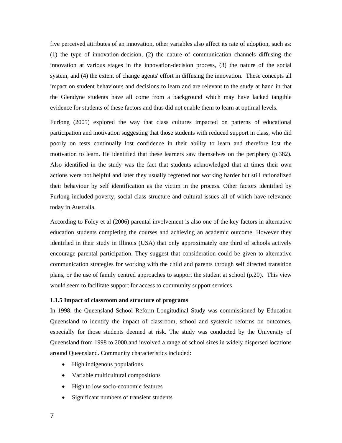five perceived attributes of an innovation, other variables also affect its rate of adoption, such as: (1) the type of innovation-decision, (2) the nature of communication channels diffusing the innovation at various stages in the innovation-decision process, (3) the nature of the social system, and (4) the extent of change agents' effort in diffusing the innovation. These concepts all impact on student behaviours and decisions to learn and are relevant to the study at hand in that the Glendyne students have all come from a background which may have lacked tangible evidence for students of these factors and thus did not enable them to learn at optimal levels.

Furlong (2005) explored the way that class cultures impacted on patterns of educational participation and motivation suggesting that those students with reduced support in class, who did poorly on tests continually lost confidence in their ability to learn and therefore lost the motivation to learn. He identified that these learners saw themselves on the periphery (p.382). Also identified in the study was the fact that students acknowledged that at times their own actions were not helpful and later they usually regretted not working harder but still rationalized their behaviour by self identification as the victim in the process. Other factors identified by Furlong included poverty, social class structure and cultural issues all of which have relevance today in Australia.

According to Foley et al (2006) parental involvement is also one of the key factors in alternative education students completing the courses and achieving an academic outcome. However they identified in their study in Illinois (USA) that only approximately one third of schools actively encourage parental participation. They suggest that consideration could be given to alternative communication strategies for working with the child and parents through self directed transition plans, or the use of family centred approaches to support the student at school (p.20). This view would seem to facilitate support for access to community support services.

#### **1.1.5 Impact of classroom and structure of programs**

In 1998, the Queensland School Reform Longitudinal Study was commissioned by Education Queensland to identify the impact of classroom, school and systemic reforms on outcomes, especially for those students deemed at risk. The study was conducted by the University of Queensland from 1998 to 2000 and involved a range of school sizes in widely dispersed locations around Queensland. Community characteristics included:

- High indigenous populations
- Variable multicultural compositions
- High to low socio-economic features
- Significant numbers of transient students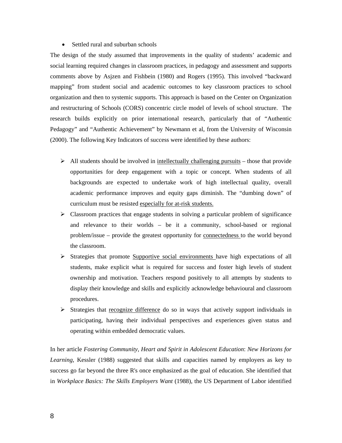#### • Settled rural and suburban schools

The design of the study assumed that improvements in the quality of students' academic and social learning required changes in classroom practices, in pedagogy and assessment and supports comments above by Asjzen and Fishbein (1980) and Rogers (1995). This involved "backward mapping" from student social and academic outcomes to key classroom practices to school organization and then to systemic supports. This approach is based on the Center on Organization and restructuring of Schools (CORS) concentric circle model of levels of school structure. The research builds explicitly on prior international research, particularly that of "Authentic Pedagogy" and "Authentic Achievement" by Newmann et al, from the University of Wisconsin (2000). The following Key Indicators of success were identified by these authors:

- $\triangleright$  All students should be involved in <u>intellectually challenging pursuits</u> those that provide opportunities for deep engagement with a topic or concept. When students of all backgrounds are expected to undertake work of high intellectual quality, overall academic performance improves and equity gaps diminish. The "dumbing down" of curriculum must be resisted especially for at-risk students.
- $\triangleright$  Classroom practices that engage students in solving a particular problem of significance and relevance to their worlds – be it a community, school-based or regional problem/issue – provide the greatest opportunity for connectedness to the world beyond the classroom.
- ¾ Strategies that promote Supportive social environments have high expectations of all students, make explicit what is required for success and foster high levels of student ownership and motivation. Teachers respond positively to all attempts by students to display their knowledge and skills and explicitly acknowledge behavioural and classroom procedures.
- $\triangleright$  Strategies that recognize difference do so in ways that actively support individuals in participating, having their individual perspectives and experiences given status and operating within embedded democratic values.

In her article *Fostering Community, Heart and Spirit in Adolescent Education*: *New Horizons for Learning*, Kessler (1988) suggested that skills and capacities named by employers as key to success go far beyond the three R's once emphasized as the goal of education. She identified that in *Workplace Basics: The Skills Employers Want* (1988), the US Department of Labor identified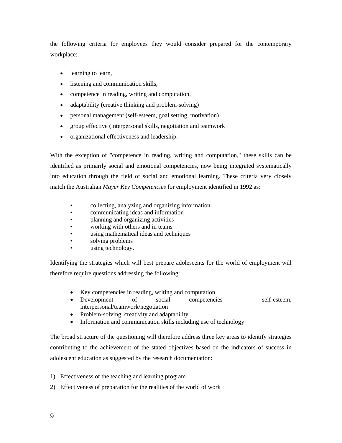the following criteria for employees they would consider prepared for the contemporary workplace:

- learning to learn,
- listening and communication skills,
- competence in reading, writing and computation,
- adaptability (creative thinking and problem-solving)
- personal management (self-esteem, goal setting, motivation)
- group effective (interpersonal skills, negotiation and teamwork
- organizational effectiveness and leadership.

With the exception of "competence in reading, writing and computation," these skills can be identified as primarily social and emotional competencies, now being integrated systematically into education through the field of social and emotional learning. These criteria very closely match the Australian *Mayer Key Competencies* for employment identified in 1992 as:

- collecting, analyzing and organizing information
- communicating ideas and information
- planning and organizing activities
- working with others and in teams
- using mathematical ideas and techniques
- solving problems
- using technology.

Identifying the strategies which will best prepare adolescents for the world of employment will therefore require questions addressing the following:

- Key competencies in reading, writing and computation
- Development of social competencies self-esteem, interpersonal/teamwork/negotiation
- Problem-solving, creativity and adaptability
- Information and communication skills including use of technology

The broad structure of the questioning will therefore address three key areas to identify strategies contributing to the achievement of the stated objectives based on the indicators of success in adolescent education as suggested by the research documentation:

- 1) Effectiveness of the teaching and learning program
- 2) Effectiveness of preparation for the realities of the world of work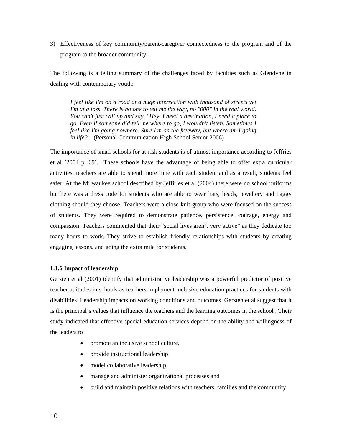3) Effectiveness of key community/parent-caregiver connectedness to the program and of the program to the broader community.

The following is a telling summary of the challenges faced by faculties such as Glendyne in dealing with contemporary youth:

*I feel like I'm on a road at a huge intersection with thousand of streets yet I'm at a loss. There is no one to tell me the way, no "000" in the real world. You can't just call up and say, "Hey, I need a destination, I need a place to go. Even if someone did tell me where to go, I wouldn't listen. Sometimes I feel like I'm going nowhere. Sure I'm on the freeway, but where am I going in life?* (Personal Communication High School Senior 2006)

The importance of small schools for at-risk students is of utmost importance according to Jeffries et al (2004 p. 69). These schools have the advantage of being able to offer extra curricular activities, teachers are able to spend more time with each student and as a result, students feel safer. At the Milwaukee school described by Jeffiries et al (2004) there were no school uniforms but here was a dress code for students who are able to wear hats, beads, jewellery and baggy clothing should they choose. Teachers were a close knit group who were focused on the success of students. They were required to demonstrate patience, persistence, courage, energy and compassion. Teachers commented that their "social lives aren't very active" as they dedicate too many hours to work. They strive to establish friendly relationships with students by creating engaging lessons, and going the extra mile for students.

## **1.1.6 Impact of leadership**

Gersten et al (2001) identify that administrative leadership was a powerful predictor of positive teacher attitudes in schools as teachers implement inclusive education practices for students with disabilities. Leadership impacts on working conditions and outcomes. Gersten et al suggest that it is the principal's values that influence the teachers and the learning outcomes in the school . Their study indicated that effective special education services depend on the ability and willingness of the leaders to

- promote an inclusive school culture,
- provide instructional leadership
- model collaborative leadership
- manage and administer organizational processes and
- build and maintain positive relations with teachers, families and the community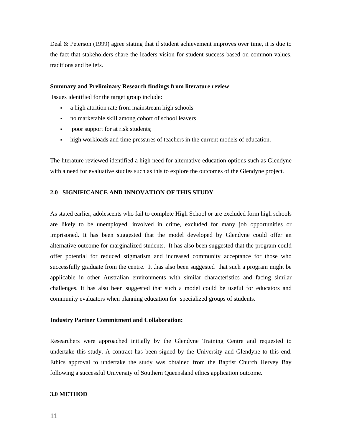Deal & Peterson (1999) agree stating that if student achievement improves over time, it is due to the fact that stakeholders share the leaders vision for student success based on common values, traditions and beliefs.

#### **Summary and Preliminary Research findings from literature review**:

Issues identified for the target group include:

- a high attrition rate from mainstream high schools
- no marketable skill among cohort of school leavers
- poor support for at risk students;
- high workloads and time pressures of teachers in the current models of education.

The literature reviewed identified a high need for alternative education options such as Glendyne with a need for evaluative studies such as this to explore the outcomes of the Glendyne project.

### **2.0 SIGNIFICANCE AND INNOVATION OF THIS STUDY**

As stated earlier, adolescents who fail to complete High School or are excluded form high schools are likely to be unemployed, involved in crime, excluded for many job opportunities or imprisoned. It has been suggested that the model developed by Glendyne could offer an alternative outcome for marginalized students. It has also been suggested that the program could offer potential for reduced stigmatism and increased community acceptance for those who successfully graduate from the centre. It .has also been suggested that such a program might be applicable in other Australian environments with similar characteristics and facing similar challenges. It has also been suggested that such a model could be useful for educators and community evaluators when planning education for specialized groups of students.

#### **Industry Partner Commitment and Collaboration:**

Researchers were approached initially by the Glendyne Training Centre and requested to undertake this study. A contract has been signed by the University and Glendyne to this end. Ethics approval to undertake the study was obtained from the Baptist Church Hervey Bay following a successful University of Southern Queensland ethics application outcome.

#### **3.0 METHOD**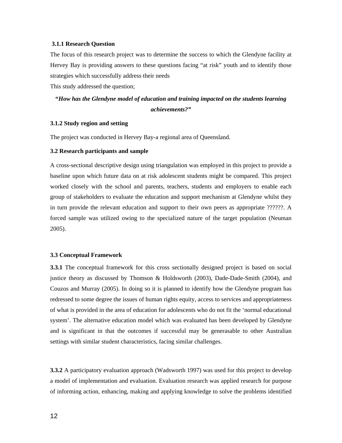#### **3.1.1 Research Question**

The focus of this research project was to determine the success to which the Glendyne facility at Hervey Bay is providing answers to these questions facing "at risk" youth and to identify those strategies which successfully address their needs

This study addressed the question;

# **"***How has the Glendyne model of education and training impacted on the students learning achievements?"*

### **3.1.2 Study region and setting**

The project was conducted in Hervey Bay-a regional area of Queensland.

#### **3.2 Research participants and sample**

A cross-sectional descriptive design using triangulation was employed in this project to provide a baseline upon which future data on at risk adolescent students might be compared. This project worked closely with the school and parents, teachers, students and employers to enable each group of stakeholders to evaluate the education and support mechanism at Glendyne whilst they in turn provide the relevant education and support to their own peers as appropriate ??????. A forced sample was utilized owing to the specialized nature of the target population (Neuman 2005).

#### **3.3 Conceptual Framework**

**3.3.1** The conceptual framework for this cross sectionally designed project is based on social justice theory as discussed by Thomson & Holdsworth (2003), Dade-Dade-Smith (2004), and Couzos and Murray (2005). In doing so it is planned to identify how the Glendyne program has redressed to some degree the issues of human rights equity, access to services and appropriateness of what is provided in the area of education for adolescents who do not fit the 'normal educational system'. The alternative education model which was evaluated has been developed by Glendyne and is significant in that the outcomes if successful may be generasable to other Australian settings with similar student characteristics, facing similar challenges.

**3.3.2** A participatory evaluation approach (Wadsworth 1997) was used for this project to develop a model of implementation and evaluation. Evaluation research was applied research for purpose of informing action, enhancing, making and applying knowledge to solve the problems identified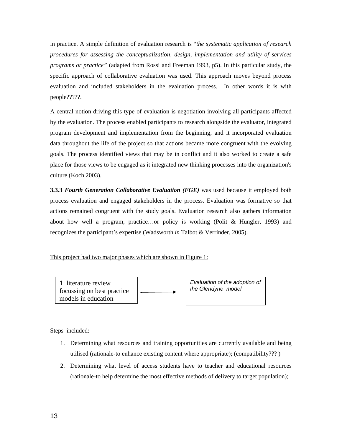in practice. A simple definition of evaluation research is "*the systematic application of research procedures for assessing the conceptualization, design, implementation and utility of services programs or practice"* (adapted from Rossi and Freeman 1993, p5). In this particular study, the specific approach of collaborative evaluation was used. This approach moves beyond process evaluation and included stakeholders in the evaluation process. In other words it is with people?????.

A central notion driving this type of evaluation is negotiation involving all participants affected by the evaluation. The process enabled participants to research alongside the evaluator, integrated program development and implementation from the beginning, and it incorporated evaluation data throughout the life of the project so that actions became more congruent with the evolving goals. The process identified views that may be in conflict and it also worked to create a safe place for those views to be engaged as it integrated new thinking processes into the organization's culture (Koch 2003).

**3.3.3** *Fourth Generation Collaborative Evaluation (FGE)* was used because it employed both process evaluation and engaged stakeholders in the process. Evaluation was formative so that actions remained congruent with the study goals. Evaluation research also gathers information about how well a program, practice…or policy is working (Polit & Hungler, 1993) and recognizes the participant's expertise (Wadsworth *in* Talbot & Verrinder, 2005).

This project had two major phases which are shown in Figure 1:



Steps included:

- 1. Determining what resources and training opportunities are currently available and being utilised (rationale-to enhance existing content where appropriate); (compatibility??? )
- 2. Determining what level of access students have to teacher and educational resources (rationale-to help determine the most effective methods of delivery to target population);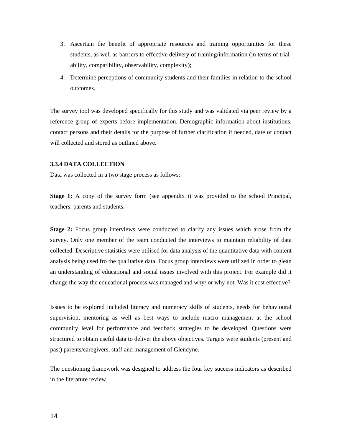- 3. Ascertain the benefit of appropriate resources and training opportunities for these students, as well as barriers to effective delivery of training/information (in terms of trialability, compatibility, observability, complexity);
- 4. Determine perceptions of community students and their families in relation to the school outcomes.

The survey tool was developed specifically for this study and was validated via peer review by a reference group of experts before implementation. Demographic information about institutions, contact persons and their details for the purpose of further clarification if needed, date of contact will collected and stored as outlined above.

#### **3.3.4 DATA COLLECTION**

Data was collected in a two stage process as follows:

**Stage 1:** A copy of the survey form (see appendix i) was provided to the school Principal, teachers, parents and students.

**Stage 2:** Focus group interviews were conducted to clarify any issues which arose from the survey. Only one member of the team conducted the interviews to maintain reliability of data collected. Descriptive statistics were utilised for data analysis of the quantitative data with content analysis being used fro the qualitative data. Focus group interviews were utilized in order to glean an understanding of educational and social issues involved with this project. For example did it change the way the educational process was managed and why/ or why not. Was it cost effective?

Issues to be explored included literacy and numeracy skills of students, needs for behavioural supervision, mentoring as well as best ways to include macro management at the school community level for performance and feedback strategies to be developed. Questions were structured to obtain useful data to deliver the above objectives. Targets were students (present and past) parents/caregivers, staff and management of Glendyne.

The questioning framework was designed to address the four key success indicators as described in the literature review.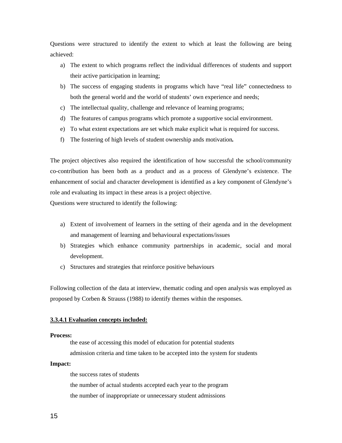Questions were structured to identify the extent to which at least the following are being achieved:

- a) The extent to which programs reflect the individual differences of students and support their active participation in learning;
- b) The success of engaging students in programs which have "real life" connectedness to both the general world and the world of students' own experience and needs;
- c) The intellectual quality, challenge and relevance of learning programs;
- d) The features of campus programs which promote a supportive social environment.
- e) To what extent expectations are set which make explicit what is required for success.
- f) The fostering of high levels of student ownership ands motivation*.*

The project objectives also required the identification of how successful the school/community co-contribution has been both as a product and as a process of Glendyne's existence. The enhancement of social and character development is identified as a key component of Glendyne's role and evaluating its impact in these areas is a project objective.

Questions were structured to identify the following:

- a) Extent of involvement of learners in the setting of their agenda and in the development and management of learning and behavioural expectations/issues
- b) Strategies which enhance community partnerships in academic, social and moral development.
- c) Structures and strategies that reinforce positive behaviours

Following collection of the data at interview, thematic coding and open analysis was employed as proposed by Corben & Strauss (1988) to identify themes within the responses.

# **3.3.4.1 Evaluation concepts included:**

#### **Process:**

the ease of accessing this model of education for potential students

admission criteria and time taken to be accepted into the system for students

# **Impact:**

the success rates of students

the number of actual students accepted each year to the program

the number of inappropriate or unnecessary student admissions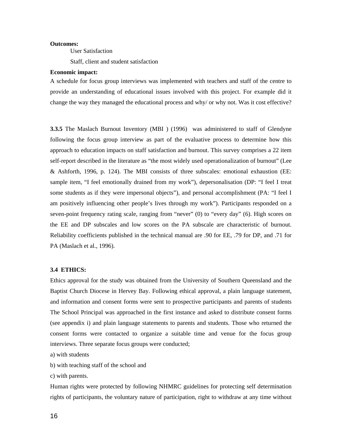### **Outcomes:**

User Satisfaction

Staff, client and student satisfaction

# **Economic impact:**

A schedule for focus group interviews was implemented with teachers and staff of the centre to provide an understanding of educational issues involved with this project. For example did it change the way they managed the educational process and why/ or why not. Was it cost effective?

**3.3.5** The Maslach Burnout Inventory (MBI ) (1996) was administered to staff of Glendyne following the focus group interview as part of the evaluative process to determine how this approach to education impacts on staff satisfaction and burnout. This survey comprises a 22 item self-report described in the literature as "the most widely used operationalization of burnout" (Lee & Ashforth, 1996, p. 124). The MBI consists of three subscales: emotional exhaustion (EE: sample item, "I feel emotionally drained from my work"), depersonalisation (DP: "I feel I treat some students as if they were impersonal objects"), and personal accomplishment (PA: "I feel I am positively influencing other people's lives through my work"). Participants responded on a seven-point frequency rating scale, ranging from "never" (0) to "every day" (6). High scores on the EE and DP subscales and low scores on the PA subscale are characteristic of burnout. Reliability coefficients published in the technical manual are .90 for EE, .79 for DP, and .71 for PA (Maslach et al., 1996).

# **3.4 ETHICS:**

Ethics approval for the study was obtained from the University of Southern Queensland and the Baptist Church Diocese in Hervey Bay. Following ethical approval, a plain language statement, and information and consent forms were sent to prospective participants and parents of students The School Principal was approached in the first instance and asked to distribute consent forms (see appendix i) and plain language statements to parents and students. Those who returned the consent forms were contacted to organize a suitable time and venue for the focus group interviews. Three separate focus groups were conducted;

a) with students

b) with teaching staff of the school and

c) with parents.

Human rights were protected by following NHMRC guidelines for protecting self determination rights of participants, the voluntary nature of participation, right to withdraw at any time without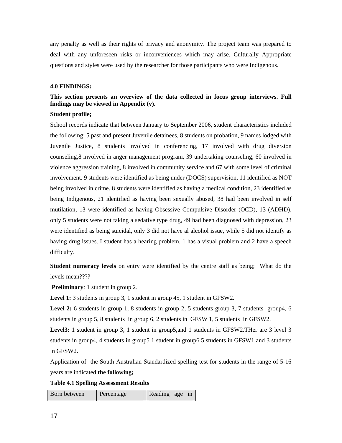any penalty as well as their rights of privacy and anonymity. The project team was prepared to deal with any unforeseen risks or inconveniences which may arise. Culturally Appropriate questions and styles were used by the researcher for those participants who were Indigenous.

# **4.0 FINDINGS:**

# **This section presents an overview of the data collected in focus group interviews. Full findings may be viewed in Appendix (v).**

#### **Student profile;**

School records indicate that between January to September 2006, student characteristics included the following; 5 past and present Juvenile detainees, 8 students on probation, 9 names lodged with Juvenile Justice, 8 students involved in conferencing, 17 involved with drug diversion counseling,8 involved in anger management program, 39 undertaking counseling, 60 involved in violence aggression training, 8 involved in community service and 67 with some level of criminal involvement. 9 students were identified as being under (DOCS) supervision, 11 identified as NOT being involved in crime. 8 students were identified as having a medical condition, 23 identified as being Indigenous, 21 identified as having been sexually abused, 38 had been involved in self mutilation, 13 were identified as having Obsessive Compulsive Disorder (OCD), 13 (ADHD), only 5 students were not taking a sedative type drug, 49 had been diagnosed with depression, 23 were identified as being suicidal, only 3 did not have al alcohol issue, while 5 did not identify as having drug issues. I student has a hearing problem, 1 has a visual problem and 2 have a speech difficulty.

**Student numeracy levels** on entry were identified by the centre staff as being; What do the levels mean????

**Preliminary**: 1 student in group 2.

**Level 1:** 3 students in group 3, 1 student in group 45, 1 student in GFSW2.

**Level 2:** 6 students in group 1, 8 students in group 2, 5 students group 3, 7 students group4, 6 students in group 5, 8 students in group 6, 2 students in GFSW 1, 5 students in GFSW2.

Level<sup>3</sup>: 1 student in group 3, 1 student in group5, and 1 students in GFSW2. Ther are 3 level 3 students in group4, 4 students in group5 1 student in group6 5 students in GFSW1 and 3 students in GFSW2.

Application of the South Australian Standardized spelling test for students in the range of 5-16 years are indicated **the following;** 

**Table 4.1 Spelling Assessment Results** 

Born between | Percentage | Reading age in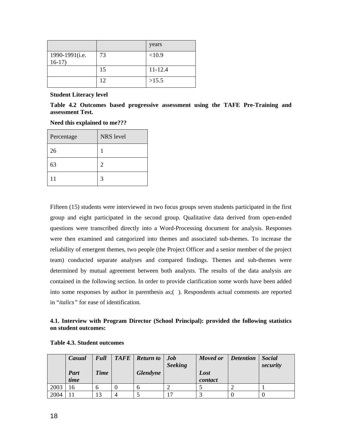|                |    | years       |
|----------------|----|-------------|
| 1990-1991(i.e. | 73 | <10.9       |
| $16-17$        |    |             |
|                | 15 | $11 - 12.4$ |
|                | 12 | >15.5       |

**Student Literacy level** 

**Table 4.2 Outcomes based progressive assessment using the TAFE Pre-Training and assessment Test.** 

## **Need this explained to me???**

| Percentage | <b>NRS</b> level |
|------------|------------------|
| 26         |                  |
| 63         | $\overline{2}$   |
| 11         | 3                |

Fifteen (15) students were interviewed in two focus groups seven students participated in the first group and eight participated in the second group. Qualitative data derived from open-ended questions were transcribed directly into a Word-Processing document for analysis. Responses were then examined and categorized into themes and associated sub-themes. To increase the reliability of emergent themes, two people (the Project Officer and a senior member of the project team) conducted separate analyses and compared findings. Themes and sub-themes were determined by mutual agreement between both analysts. The results of the data analysis are contained in the following section. In order to provide clarification some words have been added into some responses by author in parenthesis as;( ). Respondents actual comments are reported in "*italics"* for ease of identification*.*

# **4.1. Interview with Program Director (School Principal): provided the following statistics on student outcomes:**

|      | Casual       | <b>Full</b> | TAFE | <b>Return to</b> | <b>Job</b><br><b>Seeking</b> | Moved or        | <b>Detention</b> | <b>Social</b><br>security |
|------|--------------|-------------|------|------------------|------------------------------|-----------------|------------------|---------------------------|
|      | Part<br>time | <b>Time</b> |      | <b>Glendyne</b>  |                              | Lost<br>contact |                  |                           |
| 2003 | 16           | n           |      | n                |                              |                 |                  |                           |
| 2004 |              | 13          | 4    |                  | $\overline{\phantom{0}}$     |                 |                  |                           |

# **Table 4.3. Student outcomes**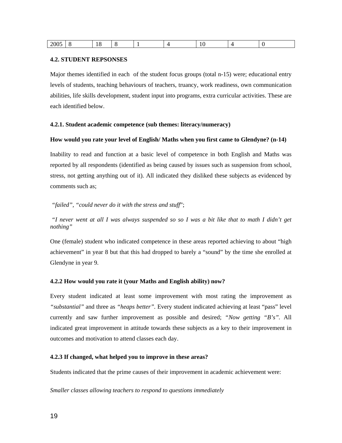| 2005 |   | $\ddot{\phantom{1}}$<br>. . |  |        |  |
|------|---|-----------------------------|--|--------|--|
|      | ∼ |                             |  | $\sim$ |  |

# **4.2. STUDENT REPSONSES**

Major themes identified in each of the student focus groups (total n-15) were; educational entry levels of students, teaching behaviours of teachers, truancy, work readiness, own communication abilities, life skills development, student input into programs, extra curricular activities. These are each identified below.

# **4.2.1. Student academic competence (sub themes: literacy/numeracy)**

# **How would you rate your level of English/ Maths when you first came to Glendyne? (n-14)**

Inability to read and function at a basic level of competence in both English and Maths was reported by all respondents (identified as being caused by issues such as suspension from school, stress, not getting anything out of it). All indicated they disliked these subjects as evidenced by comments such as;

# *"failed", "could never do it with the stress and stuff*";

 *"I never went at all I was always suspended so so I was a bit like that to math I didn't get nothing"* 

One (female) student who indicated competence in these areas reported achieving to about "high achievement" in year 8 but that this had dropped to barely a "sound" by the time she enrolled at Glendyne in year 9.

# **4.2.2 How would you rate it (your Maths and English ability) now?**

Every student indicated at least some improvement with most rating the improvement as *"substantial"* and three as *"heaps better".* Every student indicated achieving at least "pass" level currently and saw further improvement as possible and desired; *"Now getting "B's".* All indicated great improvement in attitude towards these subjects as a key to their improvement in outcomes and motivation to attend classes each day.

## **4.2.3 If changed, what helped you to improve in these areas?**

Students indicated that the prime causes of their improvement in academic achievement were:

*Smaller classes allowing teachers to respond to questions immediately*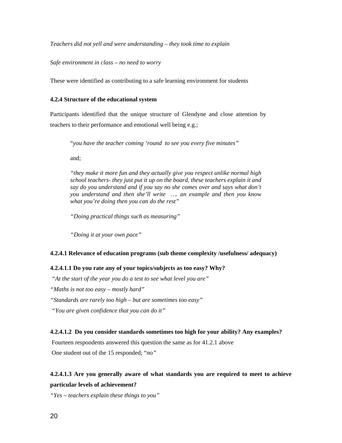*Teachers did not yell and were understanding – they took time to explain* 

*Safe environment in class – no need to worry* 

These were identified as contributing to a safe learning environment for students

#### **4.2.4 Structure of the educational system**

Participants identified that the unique structure of Glendyne and close attention by teachers to their performance and emotional well being e.g.;

"*you have the teacher coming 'round to see you every five minutes"*

and;

*"they make it more fun and they actually give you respect unlike normal high school teachers- they just put it up on the board, these teachers explain it and say do you understand and if you say no she comes over and says what don't you understand and then she'll write …. an example and then you know what you're doing then you can do the rest"* 

*"Doing practical things such as measuring"* 

*"Doing it at your own pace"* 

#### **4.2.4.1 Relevance of education programs (sub theme complexity /usefulness/ adequacy)**

# **4.2.4.1.1 Do you rate any of your topics/subjects as too easy? Why?**

 *"At the start of the year you do a test to see what level you are" "Maths is not too easy – mostly hard" "Standards are rarely too high – but are sometimes too easy" "You are given confidence that you can do it"* 

## **4.2.4.1.2 Do you consider standards sometimes too high for your ability? Any examples?**

 Fourteen respondents answered this question the same as for 41.2.1 above One student out of the 15 responded; "*no"* 

# **4.2.4.1.3 Are you generally aware of what standards you are required to meet to achieve particular levels of achievement?**

*"Yes – teachers explain these things to you"*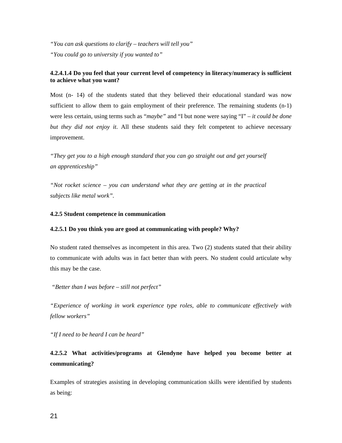*"You can ask questions to clarify – teachers will tell you" "You could go to university if you wanted to"* 

# **4.2.4.1.4 Do you feel that your current level of competency in literacy/numeracy is sufficient to achieve what you want?**

Most (n- 14) of the students stated that they believed their educational standard was now sufficient to allow them to gain employment of their preference. The remaining students  $(n-1)$ were less certain, using terms such as "*maybe"* and "I but none were saying "I" – *it could be done but they did not enjoy it*. All these students said they felt competent to achieve necessary improvement.

*"They get you to a high enough standard that you can go straight out and get yourself an apprenticeship"* 

*"Not rocket science – you can understand what they are getting at in the practical subjects like metal work".* 

# **4.2.5 Student competence in communication**

## **4.2.5.1 Do you think you are good at communicating with people? Why?**

No student rated themselves as incompetent in this area. Two (2) students stated that their ability to communicate with adults was in fact better than with peers. No student could articulate why this may be the case.

 *"Better than I was before – still not perfect"* 

*"Experience of working in work experience type roles, able to communicate effectively with fellow workers"* 

*"If I need to be heard I can be heard"* 

# **4.2.5.2 What activities/programs at Glendyne have helped you become better at communicating?**

Examples of strategies assisting in developing communication skills were identified by students as being: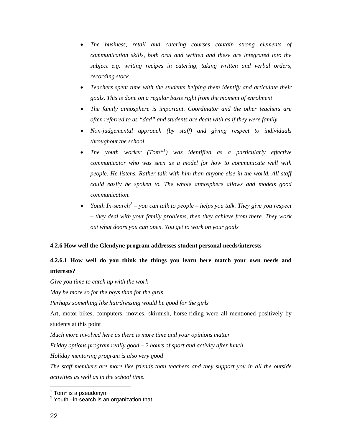- *The business, retail and catering courses contain strong elements of communication skills, both oral and written and these are integrated into the subject e.g. writing recipes in catering, taking written and verbal orders, recording stock.*
- *Teachers spent time with the students helping them identify and articulate their goals. This is done on a regular basis right from the moment of enrolment*
- *The family atmosphere is important. Coordinator and the other teachers are often referred to as "dad" and students are dealt with as if they were family*
- *Non-judgemental approach (by staff) and giving respect to individuals throughout the school*
- *The youth worker (Tom\*[1](#page-26-0) ) was identified as a particularly effective communicator who was seen as a model for how to communicate well with people. He listens. Rather talk with him than anyone else in the world. All staff could easily be spoken to. The whole atmosphere allows and models good communication.*
- *Youth In-search*<sup>[2](#page-26-1)</sup> you can talk to people helps you talk. They give you respect *– they deal with your family problems, then they achieve from there. They work out what doors you can open. You get to work on your goals*

## **4.2.6 How well the Glendyne program addresses student personal needs/interests**

# **4.2.6.1 How well do you think the things you learn here match your own needs and interests?**

*Give you time to catch up with the work May be more so for the boys than for the girls Perhaps something like hairdressing would be good for the girls*  Art, motor-bikes, computers, movies, skirmish, horse-riding were all mentioned positively by students at this point *Much more involved here as there is more time and your opinions matter Friday options program really good – 2 hours of sport and activity after lunch Holiday mentoring program is also very good The staff members are more like friends than teachers and they support you in all the outside activities as well as in the school time.*  l

<span id="page-26-0"></span><sup>&</sup>lt;sup>1</sup> Tom\* is a pseudonym

<span id="page-26-1"></span> $2$  Youth –in-search is an organization that  $\dots$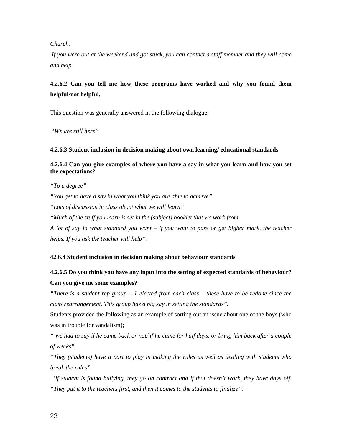## *Church.*

 *If you were out at the weekend and got stuck, you can contact a staff member and they will come and help* 

# **4.2.6.2 Can you tell me how these programs have worked and why you found them helpful/not helpful.**

This question was generally answered in the following dialogue;

"*We are still here"* 

# **4.2.6.3 Student inclusion in decision making about own learning/ educational standards**

**4.2.6.4 Can you give examples of where you have a say in what you learn and how you set the expectations**?

*"To a degree"* 

*"You get to have a say in what you think you are able to achieve"* 

*"Lots of discussion in class about what we will learn"* 

*"Much of the stuff you learn is set in the (subject) booklet that we work from* 

*A lot of say in what standard you want – if you want to pass or get higher mark, the teacher helps. If you ask the teacher will help".* 

# **42.6.4 Student inclusion in decision making about behaviour standards**

# **4.2.6.5 Do you think you have any input into the setting of expected standards of behaviour? Can you give me some examples?**

*"There is a student rep group – 1 elected from each class – these have to be redone since the class rearrangement. This group has a big say in setting the standards".* 

Students provided the following as an example of sorting out an issue about one of the boys (who was in trouble for vandalism);

*"-we had to say if he came back or not/ if he came for half days, or bring him back after a couple of weeks".*

*"They (students) have a part to play in making the rules as well as dealing with students who break the rules".* 

 *"If student is found bullying, they go on contract and if that doesn't work, they have days off. "They put it to the teachers first, and then it comes to the students to finalize".*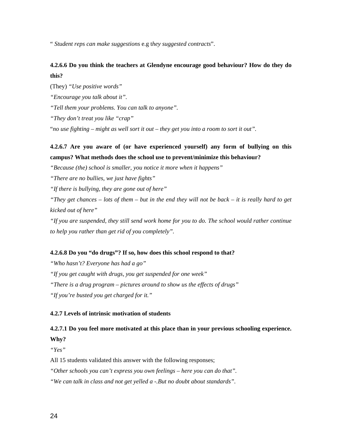" *Student reps can make suggestions* e.g t*hey suggested contracts*".

# **4.2.6.6 Do you think the teachers at Glendyne encourage good behaviour? How do they do this?**

(They) *"Use positive words"* 

*"Encourage you talk about it".* 

*"Tell them your problems. You can talk to anyone".* 

*"They don't treat you like "crap"* 

"*no use fighting – might as well sort it out – they get you into a room to sort it out".* 

# **4.2.6.7 Are you aware of (or have experienced yourself) any form of bullying on this campus? What methods does the school use to prevent/minimize this behaviour?**

*"Because (the) school is smaller, you notice it more when it happens"* 

*"There are no bullies, we just have fights"* 

*"If there is bullying, they are gone out of here"* 

*"They get chances – lots of them – but in the end they will not be back – it is really hard to get kicked out of here"* 

*"If you are suspended, they still send work home for you to do. The school would rather continue to help you rather than get rid of you completely".*

# **4.2.6.8 Do you "do drugs"? If so, how does this school respond to that?**

*"Who hasn't? Everyone has had a go" "If you get caught with drugs, you get suspended for one week" "There is a drug program – pictures around to show us the effects of drugs" "If you're busted you get charged for it."* 

# **4.2.7 Levels of intrinsic motivation of students**

# **4.2.7.1 Do you feel more motivated at this place than in your previous schooling experience.**

**Why?** 

*"Yes"*

All 15 students validated this answer with the following responses;

*"Other schools you can't express you own feelings – here you can do that".* 

*"We can talk in class and not get yelled a -.But no doubt about standards".*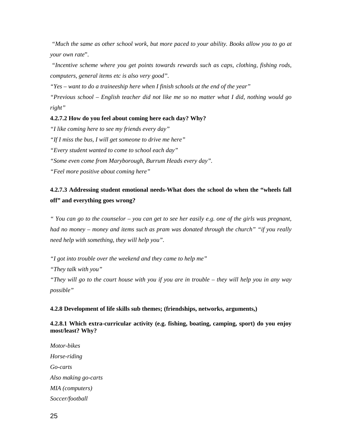*"Much the same as other school work, but more paced to your ability. Books allow you to go at your own rate*".

 *"Incentive scheme where you get points towards rewards such as caps, clothing, fishing rods, computers, general items etc is also very good".* 

*"Yes – want to do a traineeship here when I finish schools at the end of the year"* 

*"Previous school – English teacher did not like me so no matter what I did, nothing would go right"* 

# **4.2.7.2 How do you feel about coming here each day? Why?**

*"I like coming here to see my friends every day"* 

*"If I miss the bus, I will get someone to drive me here"* 

*"Every student wanted to come to school each day"* 

*"Some even come from Maryborough, Burrum Heads every day".* 

*"Feel more positive about coming here"* 

# **4.2.7.3 Addressing student emotional needs-What does the school do when the "wheels fall off" and everything goes wrong?**

*" You can go to the counselor – you can get to see her easily e.g. one of the girls was pregnant, had no money – money and items such as pram was donated through the church" "if you really need help with something, they will help you".* 

*"I got into trouble over the weekend and they came to help me"* 

*"They talk with you"* 

*"They will go to the court house with you if you are in trouble – they will help you in any way possible"* 

# **4.2.8 Development of life skills sub themes; (friendships, networks, arguments,)**

**4.2.8.1 Which extra-curricular activity (e.g. fishing, boating, camping, sport) do you enjoy most/least? Why?** 

*Motor-bikes Horse-riding Go-carts Also making go-carts MIA (computers) Soccer/football*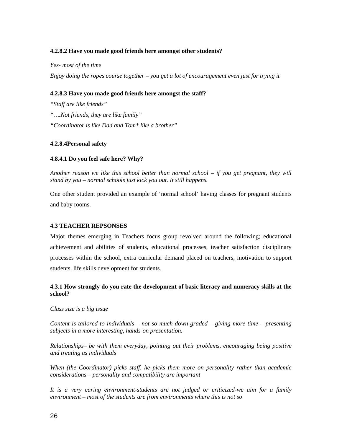# **4.2.8.2 Have you made good friends here amongst other students?**

*Yes- most of the time* 

*Enjoy doing the ropes course together – you get a lot of encouragement even just for trying it* 

# **4.2.8.3 Have you made good friends here amongst the staff?**

*"Staff are like friends" "….Not friends, they are like family" "Coordinator is like Dad and Tom\* like a brother"* 

## **4.2.8.4Personal safety**

# **4.8.4.1 Do you feel safe here? Why?**

*Another reason we like this school better than normal school – if you get pregnant, they will stand by you – normal schools just kick you out. It still happens.* 

One other student provided an example of 'normal school' having classes for pregnant students and baby rooms.

## **4.3 TEACHER REPSONSES**

Major themes emerging in Teachers focus group revolved around the following; educational achievement and abilities of students, educational processes, teacher satisfaction disciplinary processes within the school, extra curricular demand placed on teachers, motivation to support students, life skills development for students.

# **4.3.1 How strongly do you rate the development of basic literacy and numeracy skills at the school?**

*Class size is a big issue* 

*Content is tailored to individuals – not so much down-graded – giving more time – presenting subjects in a more interesting, hands-on presentation.* 

*Relationships– be with them everyday, pointing out their problems, encouraging being positive and treating as individuals* 

*When (the Coordinator) picks staff, he picks them more on personality rather than academic considerations – personality and compatibility are important* 

*It is a very caring environment-students are not judged or criticized-we aim for a family environment – most of the students are from environments where this is not so*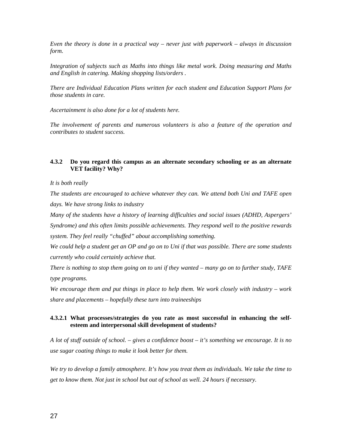*Even the theory is done in a practical way – never just with paperwork – always in discussion form.* 

*Integration of subjects such as Maths into things like metal work. Doing measuring and Maths and English in catering. Making shopping lists/orders .* 

*There are Individual Education Plans written for each student and Education Support Plans for those students in care.* 

*Ascertainment is also done for a lot of students here.* 

*The involvement of parents and numerous volunteers is also a feature of the operation and contributes to student success.* 

# **4.3.2 Do you regard this campus as an alternate secondary schooling or as an alternate VET facility? Why?**

*It is both really* 

*The students are encouraged to achieve whatever they can. We attend both Uni and TAFE open days. We have strong links to industry* 

*Many of the students have a history of learning difficulties and social issues (ADHD, Aspergers' Syndrome) and this often limits possible achievements. They respond well to the positive rewards system. They feel really "chuffed" about accomplishing something.* 

*We could help a student get an OP and go on to Uni if that was possible. There are some students currently who could certainly achieve that.* 

*There is nothing to stop them going on to uni if they wanted – many go on to further study, TAFE type programs.* 

*We encourage them and put things in place to help them. We work closely with industry – work share and placements – hopefully these turn into traineeships* 

# **4.3.2.1 What processes/strategies do you rate as most successful in enhancing the selfesteem and interpersonal skill development of students?**

*A lot of stuff outside of school. – gives a confidence boost – it's something we encourage. It is no use sugar coating things to make it look better for them.* 

*We try to develop a family atmosphere. It's how you treat them as individuals. We take the time to get to know them. Not just in school but out of school as well. 24 hours if necessary.*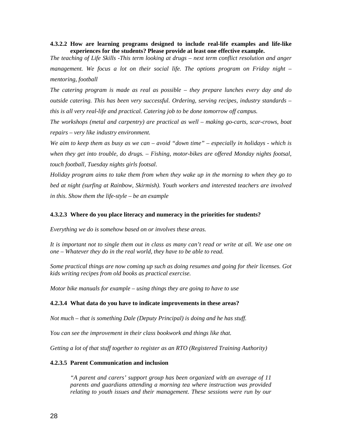**4.3.2.2 How are learning programs designed to include real-life examples and life-like experiences for the students? Please provide at least one effective example.** 

*The teaching of Life Skills -This term looking at drugs – next term conflict resolution and anger*  management. We focus a lot on their social life. The options program on Friday night – *mentoring, football* 

*The catering program is made as real as possible – they prepare lunches every day and do outside catering. This has been very successful. Ordering, serving recipes, industry standards – this is all very real-life and practical. Catering job to be done tomorrow off campus.* 

*The workshops (metal and carpentry) are practical as well – making go-carts, scar-crows, boat repairs – very like industry environment.* 

*We aim to keep them as busy as we can – avoid "down time" – especially in holidays - which is when they get into trouble, do drugs. – Fishing, motor-bikes are offered Monday nights footsal, touch football, Tuesday nights girls footsal.* 

*Holiday program aims to take them from when they wake up in the morning to when they go to bed at night (surfing at Rainbow, Skirmish). Youth workers and interested teachers are involved in this. Show them the life-style – be an example* 

#### **4.3.2.3 Where do you place literacy and numeracy in the priorities for students?**

*Everything we do is somehow based on or involves these areas.* 

*It is important not to single them out in class as many can't read or write at all. We use one on one – Whatever they do in the real world, they have to be able to read.* 

*Some practical things are now coming up such as doing resumes and going for their licenses. Got kids writing recipes from old books as practical exercise.* 

*Motor bike manuals for example – using things they are going to have to use* 

#### **4.2.3.4 What data do you have to indicate improvements in these areas?**

*Not much – that is something Dale (Deputy Principal) is doing and he has stuff.* 

*You can see the improvement in their class bookwork and things like that.* 

*Getting a lot of that stuff together to register as an RTO (Registered Training Authority)* 

#### **4.2.3.5 Parent Communication and inclusion**

*"A parent and carers' support group has been organized with an average of 11 parents and guardians attending a morning tea where instruction was provided relating to youth issues and their management*. *These sessions were run by our*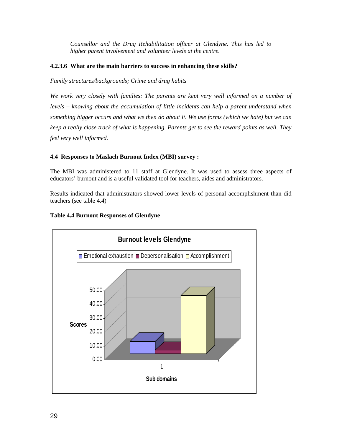*Counsellor and the Drug Rehabilitation officer at Glendyne. This has led to higher parent involvement and volunteer levels at the centre.* 

# **4.2.3.6 What are the main barriers to success in enhancing these skills?**

*Family structures/backgrounds; Crime and drug habits* 

*We work very closely with families: The parents are kept very well informed on a number of levels – knowing about the accumulation of little incidents can help a parent understand when something bigger occurs and what we then do about it. We use forms (which we hate) but we can keep a really close track of what is happening. Parents get to see the reward points as well. They feel very well informed.* 

# **4.4 Responses to Maslach Burnout Index (MBI) survey :**

The MBI was administered to 11 staff at Glendyne. It was used to assess three aspects of educators' burnout and is a useful validated tool for teachers, aides and administrators.

Results indicated that administrators showed lower levels of personal accomplishment than did teachers (see table 4.4)

# **Table 4.4 Burnout Responses of Glendyne**

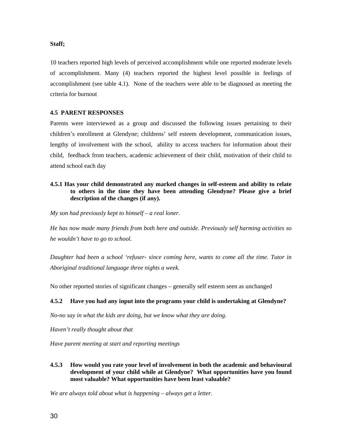# **Staff;**

10 teachers reported high levels of perceived accomplishment while one reported moderate levels of accomplishment. Many (4) teachers reported the highest level possible in feelings of accomplishment (see table 4.1). None of the teachers were able to be diagnosed as meeting the criteria for burnout

# **4.5 PARENT RESPONSES**

Parents were interviewed as a group and discussed the following issues pertaining to their children's enrollment at Glendyne; childrens' self esteem development, communication issues, lengthy of involvement with the school, ability to access teachers for information about their child, feedback from teachers, academic achievement of their child, motivation of their child to attend school each day

# **4.5.1 Has your child demonstrated any marked changes in self-esteem and ability to relate to others in the time they have been attending Glendyne? Please give a brief description of the changes (if any).**

*My son had previously kept to himself – a real loner.* 

*He has now made many friends from both here and outside. Previously self harming activities so he wouldn't have to go to school.* 

*Daughter had been a school 'refuser- since coming here, wants to come all the time. Tutor in Aboriginal traditional language three nights a week.* 

No other reported stories of significant changes – generally self esteem seen as unchanged

# **4.5.2 Have you had any input into the programs your child is undertaking at Glendyne?**

*No-no say in what the kids are doing, but we know what they are doing.* 

*Haven't really thought about that* 

*Have parent meeting at start and reporting meetings* 

**4.5.3 How would you rate your level of involvement in both the academic and behavioural development of your child while at Glendyne? What opportunities have you found most valuable? What opportunities have been least valuable?**

*We are always told about what is happening – always get a letter.*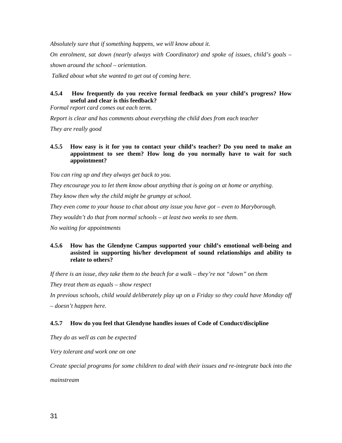*Absolutely sure that if something happens, we will know about it. On enrolment, sat down (nearly always with Coordinator) and spoke of issues, child's goals – shown around the school – orientation.* 

 *Talked about what she wanted to get out of coming here.* 

# **4.5.4 How frequently do you receive formal feedback on your child's progress? How useful and clear is this feedback?**

*Formal report card comes out each term.* 

*Report is clear and has comments about everything the child does from each teacher* 

*They are really good* 

# **4.5.5 How easy is it for you to contact your child's teacher? Do you need to make an appointment to see them? How long do you normally have to wait for such appointment?**

*You can ring up and they always get back to you.* 

*They encourage you to let them know about anything that is going on at home or anything.* 

*They know then why the child might be grumpy at school.* 

*They even come to your house to chat about any issue you have got – even to Maryborough.* 

*They wouldn't do that from normal schools – at least two weeks to see them.* 

*No waiting for appointments*

# **4.5.6 How has the Glendyne Campus supported your child's emotional well-being and assisted in supporting his/her development of sound relationships and ability to relate to others?**

*If there is an issue, they take them to the beach for a walk – they're not "down" on them* 

*They treat them as equals – show respect* 

*In previous schools, child would deliberately play up on a Friday so they could have Monday off* 

*– doesn't happen here.* 

# **4.5.7 How do you feel that Glendyne handles issues of Code of Conduct/discipline**

*They do as well as can be expected* 

*Very tolerant and work one on one* 

*Create special programs for some children to deal with their issues and re-integrate back into the* 

*mainstream*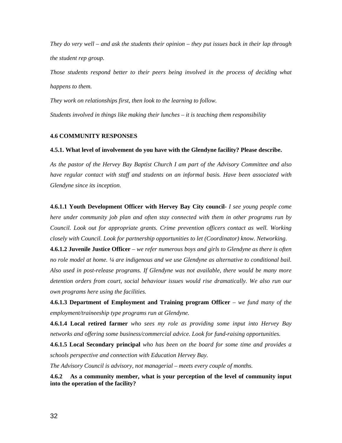*They do very well – and ask the students their opinion – they put issues back in their lap through the student rep group.* 

*Those students respond better to their peers being involved in the process of deciding what happens to them.* 

*They work on relationships first, then look to the learning to follow. Students involved in things like making their lunches – it is teaching them responsibility* 

#### **4.6 COMMUNITY RESPONSES**

#### **4.5.1. What level of involvement do you have with the Glendyne facility? Please describe.**

*As the pastor of the Hervey Bay Baptist Church I am part of the Advisory Committee and also have regular contact with staff and students on an informal basis. Have been associated with Glendyne since its inception.* 

**4.6.1.1 Youth Development Officer with Hervey Bay City council***- I see young people come here under community job plan and often stay connected with them in other programs run by Council. Look out for appropriate grants. Crime prevention officers contact as well. Working closely with Council. Look for partnership opportunities to let (Coordinator) know. Networking.* 

**4.6.1.2 Juvenile Justice Officer** *– we refer numerous boys and girls to Glendyne as there is often no role model at home. ¼ are indigenous and we use Glendyne as alternative to conditional bail. Also used in post-release programs. If Glendyne was not available, there would be many more detention orders from court, social behaviour issues would rise dramatically. We also run our own programs here using the facilities.* 

**4.6.1.3 Department of Employment and Training program Officer** *– we fund many of the employment/traineeship type programs run at Glendyne.* 

**4.6.1.4 Local retired farmer** *who sees my role as providing some input into Hervey Bay networks and offering some business/commercial advice. Look for fund-raising opportunities.* 

**4.6.1.5 Local Secondary principal** *who has been on the board for some time and provides a schools perspective and connection with Education Hervey Bay.* 

*The Advisory Council is advisory, not managerial – meets every couple of months.* 

**4.6.2 As a community member, what is your perception of the level of community input into the operation of the facility?**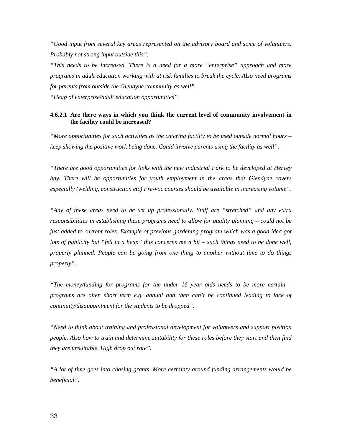*"Good input from several key areas represented on the advisory board and some of volunteers. Probably not strong input outside this".* 

*"This needs to be increased. There is a need for a more "enterprise" approach and more programs in adult education working with at risk families to break the cycle. Also need programs for parents from outside the Glendyne community as well".* 

*"Heap of enterprise/adult education opportunities".* 

#### **4.6.2.1 Are there ways in which you think the current level of community involvement in the facility could be increased?**

*"More opportunities for such activities as the catering facility to be used outside normal hours – keep showing the positive work being done. Could involve parents using the facility as well".* 

*"There are good opportunities for links with the new Industrial Park to be developed at Hervey*  bay. There will be opportunities for youth employment in the areas that Glendyne covers *especially (welding, construction etc) Pre-voc courses should be available in increasing volume".* 

*"Any of these areas need to be set up professionally. Staff are "stretched" and any extra responsibilities in establishing these programs need to allow for quality planning – could not be just added to current roles. Example of previous gardening program which was a good idea got lots of publicity but "fell in a heap" this concerns me a bit – such things need to be done well, properly planned. People can be going from one thing to another without time to do things properly".* 

*"The money/funding for programs for the under 16 year olds needs to be more certain – programs are often short term e.g. annual and then can't be continued leading to lack of continuity/disappointment for the students to be dropped".* 

*"Need to think about training and professional development for volunteers and support position people. Also how to train and determine suitability for these roles before they start and then find they are unsuitable. High drop out rate".* 

*"A lot of time goes into chasing grants. More certainty around funding arrangements would be beneficial".*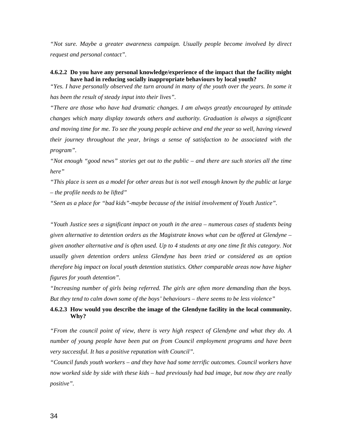*"Not sure. Maybe a greater awareness campaign. Usually people become involved by direct request and personal contact".* 

#### **4.6.2.2 Do you have any personal knowledge/experience of the impact that the facility might have had in reducing socially inappropriate behaviours by local youth?**

*"Yes. I have personally observed the turn around in many of the youth over the years. In some it has been the result of steady input into their lives".* 

*"There are those who have had dramatic changes. I am always greatly encouraged by attitude changes which many display towards others and authority. Graduation is always a significant and moving time for me. To see the young people achieve and end the year so well, having viewed their journey throughout the year, brings a sense of satisfaction to be associated with the program".* 

*"Not enough "good news" stories get out to the public – and there are such stories all the time here"* 

*"This place is seen as a model for other areas but is not well enough known by the public at large – the profile needs to be lifted"* 

*"Seen as a place for "bad kids"-maybe because of the initial involvement of Youth Justice".* 

*"Youth Justice sees a significant impact on youth in the area – numerous cases of students being given alternative to detention orders as the Magistrate knows what can be offered at Glendyne – given another alternative and is often used. Up to 4 students at any one time fit this category. Not usually given detention orders unless Glendyne has been tried or considered as an option therefore big impact on local youth detention statistics. Other comparable areas now have higher figures for youth detention".* 

*"Increasing number of girls being referred. The girls are often more demanding than the boys. But they tend to calm down some of the boys' behaviours – there seems to be less violence"* 

### **4.6.2.3 How would you describe the image of the Glendyne facility in the local community. Why?**

*"From the council point of view, there is very high respect of Glendyne and what they do. A number of young people have been put on from Council employment programs and have been very successful. It has a positive reputation with Council".* 

*"Council funds youth workers – and they have had some terrific outcomes. Council workers have now worked side by side with these kids – had previously had bad image, but now they are really positive".*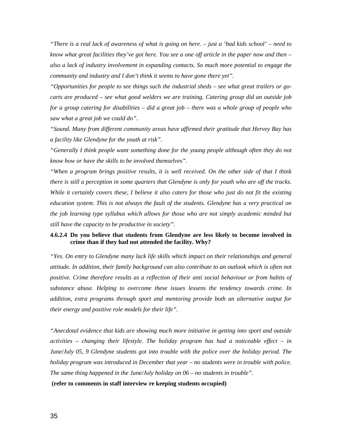*"There is a real lack of awareness of what is going on here. – just a 'bad kids school' – need to know what great facilities they've got here. You see a one off article in the paper now and then – also a lack of industry involvement in expanding contacts. So much more potential to engage the community and industry and I don't think it seems to have gone there yet".* 

*"Opportunities for people to see things such the industrial sheds – see what great trailers or gocarts are produced – see what good welders we are training. Catering group did an outside job for a group catering for disabilities – did a great job – there was a whole group of people who saw what a great job we could do".* 

*"Sound. Many from different community areas have affirmed their gratitude that Hervey Bay has a facility like Glendyne for the youth at risk".* 

*"Generally I think people want something done for the young people although often they do not know how or have the skills to be involved themselves".* 

*"When a program brings positive results, it is well received. On the other side of that I think there is still a perception in some quarters that Glendyne is only for youth who are off the tracks. While it certainly covers these, I believe it also caters for those who just do not fit the existing education system. This is not always the fault of the students. Glendyne has a very practical on the job learning type syllabus which allows for those who are not simply academic minded but still have the capacity to be productive in society".* 

#### **4.6.2.4 Do you believe that students from Glendyne are less likely to become involved in crime than if they had not attended the facility. Why?**

*"Yes. On entry to Glendyne many lack life skills which impact on their relationships and general attitude. In addition, their family background can also contribute to an outlook which is often not positive. Crime therefore results as a reflection of their anti social behaviour or from habits of substance abuse. Helping to overcome these issues lessens the tendency towards crime. In addition, extra programs through sport and mentoring provide both an alternative output for their energy and positive role models for their life".* 

*"Anecdotal evidence that kids are showing much more initiative in getting into sport and outside activities – changing their lifestyle. The holiday program has had a noticeable effect – in June/July 05, 9 Glendyne students got into trouble with the police over the holiday period. The holiday program was introduced in December that year – no students were in trouble with police. The same thing happened in the June/July holiday on 06 – no students in trouble".* 

**(refer to comments in staff interview re keeping students occupied)**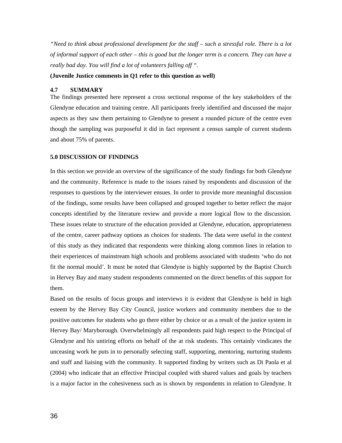*"Need to think about professional development for the staff – such a stressful role. There is a lot of informal support of each other – this is good but the longer term is a concern. They can have a really bad day. You will find a lot of volunteers falling off ".* 

#### **(Juvenile Justice comments in Q1 refer to this question as well)**

#### **4.7 SUMMARY**

The findings presented here represent a cross sectional response of the key stakeholders of the Glendyne education and training centre. All participants freely identified and discussed the major aspects as they saw them pertaining to Glendyne to present a rounded picture of the centre even though the sampling was purposeful it did in fact represent a census sample of current students and about 75% of parents.

#### **5.0 DISCUSSION OF FINDINGS**

In this section we provide an overview of the significance of the study findings for both Glendyne and the community. Reference is made to the issues raised by respondents and discussion of the responses to questions by the interviewer ensues. In order to provide more meaningful discussion of the findings, some results have been collapsed and grouped together to better reflect the major concepts identified by the literature review and provide a more logical flow to the discussion. These issues relate to structure of the education provided at Glendyne, education, appropriateness of the centre, career pathway options as choices for students. The data were useful in the context of this study as they indicated that respondents were thinking along common lines in relation to their experiences of mainstream high schools and problems associated with students 'who do not fit the normal mould'. It must be noted that Glendyne is highly supported by the Baptist Church in Hervey Bay and many student respondents commented on the direct benefits of this support for them.

Based on the results of focus groups and interviews it is evident that Glendyne is held in high esteem by the Hervey Bay City Council, justice workers and community members due to the positive outcomes for students who go there either by choice or as a result of the justice system in Hervey Bay/ Maryborough. Overwhelmingly all respondents paid high respect to the Principal of Glendyne and his untiring efforts on behalf of the at risk students. This certainly vindicates the unceasing work he puts in to personally selecting staff, supporting, mentoring, nurturing students and staff and liaising with the community. It supported finding by writers such as Di Paola et al (2004) who indicate that an effective Principal coupled with shared values and goals by teachers is a major factor in the cohesiveness such as is shown by respondents in relation to Glendyne. It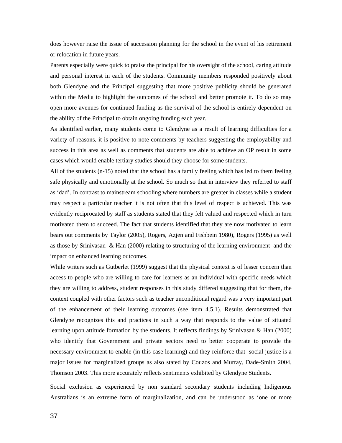does however raise the issue of succession planning for the school in the event of his retirement or relocation in future years.

Parents especially were quick to praise the principal for his oversight of the school, caring attitude and personal interest in each of the students. Community members responded positively about both Glendyne and the Principal suggesting that more positive publicity should be generated within the Media to highlight the outcomes of the school and better promote it. To do so may open more avenues for continued funding as the survival of the school is entirely dependent on the ability of the Principal to obtain ongoing funding each year.

As identified earlier, many students come to Glendyne as a result of learning difficulties for a variety of reasons, it is positive to note comments by teachers suggesting the employability and success in this area as well as comments that students are able to achieve an OP result in some cases which would enable tertiary studies should they choose for some students.

All of the students (n-15) noted that the school has a family feeling which has led to them feeling safe physically and emotionally at the school. So much so that in interview they referred to staff as 'dad'. In contrast to mainstream schooling where numbers are greater in classes while a student may respect a particular teacher it is not often that this level of respect is achieved. This was evidently reciprocated by staff as students stated that they felt valued and respected which in turn motivated them to succeed. The fact that students identified that they are now motivated to learn bears out comments by Taylor (2005), Rogers, Azjen and Fishbein 1980), Rogers (1995) as well as those by Srinivasan & Han (2000) relating to structuring of the learning environment and the impact on enhanced learning outcomes.

While writers such as Gutberlet (1999) suggest that the physical context is of lesser concern than access to people who are willing to care for learners as an individual with specific needs which they are willing to address, student responses in this study differed suggesting that for them, the context coupled with other factors such as teacher unconditional regard was a very important part of the enhancement of their learning outcomes (see item 4.5.1). Results demonstrated that Glendyne recognizes this and practices in such a way that responds to the value of situated learning upon attitude formation by the students. It reflects findings by Srinivasan & Han (2000) who identify that Government and private sectors need to better cooperate to provide the necessary environment to enable (in this case learning) and they reinforce that social justice is a major issues for marginalized groups as also stated by Couzos and Murray, Dade-Smith 2004, Thomson 2003. This more accurately reflects sentiments exhibited by Glendyne Students.

Social exclusion as experienced by non standard secondary students including Indigenous Australians is an extreme form of marginalization, and can be understood as 'one or more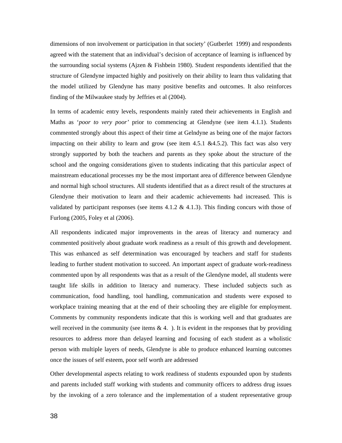dimensions of non involvement or participation in that society' (Gutberlet 1999) and respondents agreed with the statement that an individual's decision of acceptance of learning is influenced by the surrounding social systems (Ajzen & Fishbein 1980). Student respondents identified that the structure of Glendyne impacted highly and positively on their ability to learn thus validating that the model utilized by Glendyne has many positive benefits and outcomes. It also reinforces finding of the Milwaukee study by Jeffries et al (2004).

In terms of academic entry levels, respondents mainly rated their achievements in English and Maths as '*poor to very poor'* prior to commencing at Glendyne (see item 4.1.1). Students commented strongly about this aspect of their time at Gelndyne as being one of the major factors impacting on their ability to learn and grow (see item 4.5.1  $\&4.5.2$ ). This fact was also very strongly supported by both the teachers and parents as they spoke about the structure of the school and the ongoing considerations given to students indicating that this particular aspect of mainstream educational processes my be the most important area of difference between Glendyne and normal high school structures. All students identified that as a direct result of the structures at Glendyne their motivation to learn and their academic achievements had increased. This is validated by participant responses (see items  $4.1.2 \& 4.1.3$ ). This finding concurs with those of Furlong (2005, Foley et al (2006).

All respondents indicated major improvements in the areas of literacy and numeracy and commented positively about graduate work readiness as a result of this growth and development. This was enhanced as self determination was encouraged by teachers and staff for students leading to further student motivation to succeed. An important aspect of graduate work-readiness commented upon by all respondents was that as a result of the Glendyne model, all students were taught life skills in addition to literacy and numeracy. These included subjects such as communication, food handling, tool handling, communication and students were exposed to workplace training meaning that at the end of their schooling they are eligible for employment. Comments by community respondents indicate that this is working well and that graduates are well received in the community (see items  $\& 4$ .). It is evident in the responses that by providing resources to address more than delayed learning and focusing of each student as a wholistic person with multiple layers of needs, Glendyne is able to produce enhanced learning outcomes once the issues of self esteem, poor self worth are addressed

Other developmental aspects relating to work readiness of students expounded upon by students and parents included staff working with students and community officers to address drug issues by the invoking of a zero tolerance and the implementation of a student representative group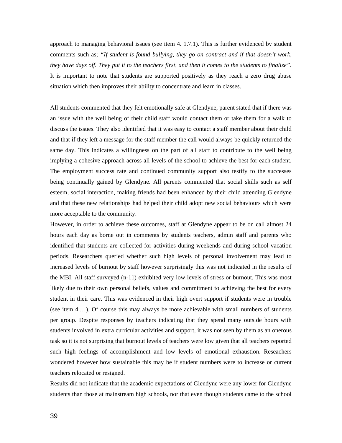approach to managing behavioral issues (see item 4. 1.7.1). This is further evidenced by student comments such as; *"If student is found bullying, they go on contract and if that doesn't work, they have days off. They put it to the teachers first, and then it comes to the students to finalize".*  It is important to note that students are supported positively as they reach a zero drug abuse situation which then improves their ability to concentrate and learn in classes.

All students commented that they felt emotionally safe at Glendyne, parent stated that if there was an issue with the well being of their child staff would contact them or take them for a walk to discuss the issues. They also identified that it was easy to contact a staff member about their child and that if they left a message for the staff member the call would always be quickly returned the same day. This indicates a willingness on the part of all staff to contribute to the well being implying a cohesive approach across all levels of the school to achieve the best for each student. The employment success rate and continued community support also testify to the successes being continually gained by Glendyne. All parents commented that social skills such as self esteem, social interaction, making friends had been enhanced by their child attending Glendyne and that these new relationships had helped their child adopt new social behaviours which were more acceptable to the community.

However, in order to achieve these outcomes, staff at Glendyne appear to be on call almost 24 hours each day as borne out in comments by students teachers, admin staff and parents who identified that students are collected for activities during weekends and during school vacation periods. Researchers queried whether such high levels of personal involvement may lead to increased levels of burnout by staff however surprisingly this was not indicated in the results of the MBI. All staff surveyed (n-11) exhibited very low levels of stress or burnout. This was most likely due to their own personal beliefs, values and commitment to achieving the best for every student in their care. This was evidenced in their high overt support if students were in trouble (see item 4.…). Of course this may always be more achievable with small numbers of students per group. Despite responses by teachers indicating that they spend many outside hours with students involved in extra curricular activities and support, it was not seen by them as an onerous task so it is not surprising that burnout levels of teachers were low given that all teachers reported such high feelings of accomplishment and low levels of emotional exhaustion. Reseachers wondered however how sustainable this may be if student numbers were to increase or current teachers relocated or resigned.

Results did not indicate that the academic expectations of Glendyne were any lower for Glendyne students than those at mainstream high schools, nor that even though students came to the school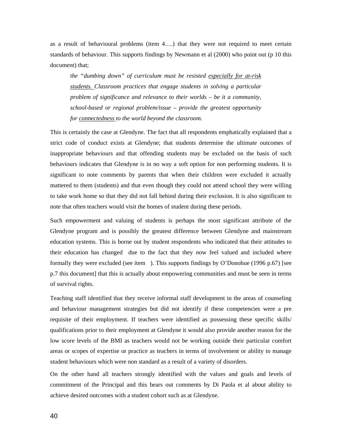as a result of behavioural problems (item 4….) that they were not required to meet certain standards of behaviour. This supports findings by Newmann et al (2000) who point out (p 10 this document) that;

*the "dumbing down" of curriculum must be resisted especially for at-risk students. Classroom practices that engage students in solving a particular problem of significance and relevance to their worlds – be it a community, school-based or regional problem/issue – provide the greatest opportunity for connectedness to the world beyond the classroom.* 

This is certainly the case at Glendyne. The fact that all respondents emphatically explained that a strict code of conduct exists at Glendyne; that students determine the ultimate outcomes of inappropriate behaviours and that offending students may be excluded on the basis of such behaviours indicates that Glendyne is in no way a soft option for non performing students. It is significant to note comments by parents that when their children were excluded it actually mattered to them (students) and that even though they could not attend school they were willing to take work home so that they did not fall behind during their exclusion. It is also significant to note that often teachers would visit the homes of student during these periods.

Such empowerment and valuing of students is perhaps the most significant attribute of the Glendyne program and is possibly the greatest difference between Glendyne and mainstream education systems. This is borne out by student respondents who indicated that their attitudes to their education has changed due to the fact that they now feel valued and included where formally they were excluded (see item ). This supports findings by O'Donohue (1996 p.67) [see p.7 this document] that this is actually about empowering communities and must be seen in terms of survival rights.

Teaching staff identified that they receive informal staff development in the areas of counseling and behaviour management strategies but did not identify if these competencies were a pre requisite of their employment. If teachers were identified as possessing these specific skills/ qualifications prior to their employment at Glendyne it would also provide another reason for the low score levels of the BMI as teachers would not be working outside their particular comfort areas or scopes of expertise or practice as teachers in terms of involvement or ability to manage student behaviours which were non standard as a result of a variety of disorders.

On the other hand all teachers strongly identified with the values and goals and levels of commitment of the Principal and this bears out comments by Di Paola et al about ability to achieve desired outcomes with a student cohort such as at Glendyne.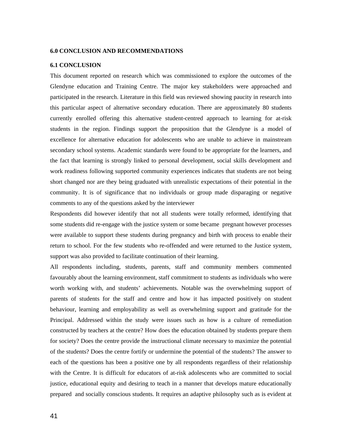#### **6.0 CONCLUSION AND RECOMMENDATIONS**

#### **6.1 CONCLUSION**

This document reported on research which was commissioned to explore the outcomes of the Glendyne education and Training Centre. The major key stakeholders were approached and participated in the research. Literature in this field was reviewed showing paucity in research into this particular aspect of alternative secondary education. There are approximately 80 students currently enrolled offering this alternative student-centred approach to learning for at-risk students in the region. Findings support the proposition that the Glendyne is a model of excellence for alternative education for adolescents who are unable to achieve in mainstream secondary school systems. Academic standards were found to be appropriate for the learners, and the fact that learning is strongly linked to personal development, social skills development and work readiness following supported community experiences indicates that students are not being short changed nor are they being graduated with unrealistic expectations of their potential in the community. It is of significance that no individuals or group made disparaging or negative comments to any of the questions asked by the interviewer

Respondents did however identify that not all students were totally reformed, identifying that some students did re-engage with the justice system or some became pregnant however processes were available to support these students during pregnancy and birth with process to enable their return to school. For the few students who re-offended and were returned to the Justice system, support was also provided to facilitate continuation of their learning.

All respondents including, students, parents, staff and community members commented favourably about the learning environment, staff commitment to students as individuals who were worth working with, and students' achievements. Notable was the overwhelming support of parents of students for the staff and centre and how it has impacted positively on student behaviour, learning and employability as well as overwhelming support and gratitude for the Principal. Addressed within the study were issues such as how is a culture of remediation constructed by teachers at the centre? How does the education obtained by students prepare them for society? Does the centre provide the instructional climate necessary to maximize the potential of the students? Does the centre fortify or undermine the potential of the students? The answer to each of the questions has been a positive one by all respondents regardless of their relationship with the Centre. It is difficult for educators of at-risk adolescents who are committed to social justice, educational equity and desiring to teach in a manner that develops mature educationally prepared and socially conscious students. It requires an adaptive philosophy such as is evident at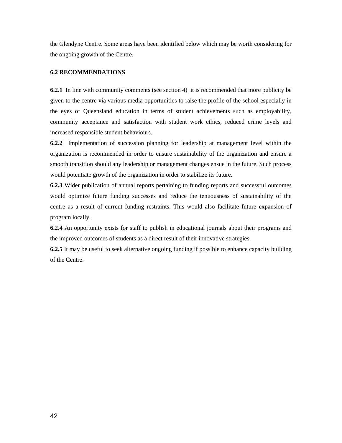the Glendyne Centre. Some areas have been identified below which may be worth considering for the ongoing growth of the Centre.

#### **6.2 RECOMMENDATIONS**

**6.2.1** In line with community comments (see section 4) it is recommended that more publicity be given to the centre via various media opportunities to raise the profile of the school especially in the eyes of Queensland education in terms of student achievements such as employability, community acceptance and satisfaction with student work ethics, reduced crime levels and increased responsible student behaviours.

**6.2.2** Implementation of succession planning for leadership at management level within the organization is recommended in order to ensure sustainability of the organization and ensure a smooth transition should any leadership or management changes ensue in the future. Such process would potentiate growth of the organization in order to stabilize its future.

**6.2.3** Wider publication of annual reports pertaining to funding reports and successful outcomes would optimize future funding successes and reduce the tenuousness of sustainability of the centre as a result of current funding restraints. This would also facilitate future expansion of program locally.

**6.2.4** An opportunity exists for staff to publish in educational journals about their programs and the improved outcomes of students as a direct result of their innovative strategies.

**6.2.5** It may be useful to seek alternative ongoing funding if possible to enhance capacity building of the Centre.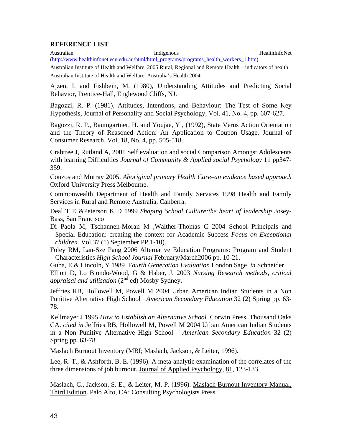### **REFERENCE LIST**

Australian **Indigenous** Indigenous **Indigenous** HealthInfoNet [\(http://www.healthinfonet.ecu.edu.au/html/html\\_programs/programs\\_health\\_workers\\_1.htm\)](http://www.healthinfonet.ecu.edu.au/html/html_programs/programs_health_workers_1.htm). Australian Institute of Health and Welfare, 2005 Rural, Regional and Remote Health – indicators of health.

Australian Institute of Health and Welfare, Australia's Health 2004

Ajzen, I. and Fishbein, M. (1980), Understanding Attitudes and Predicting Social Behavior, Prentice-Hall, Englewood Cliffs, NJ.

Bagozzi, R. P. (1981), Attitudes, Intentions, and Behaviour: The Test of Some Key Hypothesis, Journal of Personality and Social Psychology, Vol. 41, No. 4, pp. 607-627.

Bagozzi, R. P., Baumgartner, H. and Youjae, Yi, (1992), State Verus Action Orientation and the Theory of Reasoned Action: An Application to Coupon Usage, Journal of Consumer Research, Vol. 18, No. 4, pp. 505-518.

Crabtree J, Rutland A, 2001 Self evaluation and social Comparison Amongst Adolescents with learning Difficulties *Journal of Community & Applied social Psychology* 11 pp347- 359.

Couzos and Murray 2005, *Aboriginal primary Health Care–an evidence based approach* Oxford University Press Melbourne.

Commonwealth Department of Health and Family Services 1998 Health and Family Services in Rural and Remote Australia, Canberra.

Deal T E &Peterson K D 1999 *Shaping School Culture:the heart of leadership* Josey-Bass, San Francisco

Di Paola M, Tschannen-Moran M ,Walther-Thomas C 2004 School Principals and Special Education: creating the context for Academic Success *Focus on Exceptional children* Vol 37 (1) September PP.1-10).

Foley RM, Lan-Sze Pang 2006 Alternative Education Programs: Program and Student Characteristics *High School Journal* February/March2006 pp. 10-21.

Guba, E & Lincoln, Y 1989 F*ourth Generation Evaluation* London Sage *in* Schneider Elliott D, Lo Biondo-Wood, G & Haber, J. 2003 *Nursing Research methods, critical appraisal and utilisation* (2<sup>nd</sup> ed) Mosby Sydney.

Jeffries RB, Hollowell M, Powell M 2004 Urban American Indian Students in a Non Punitive Alternative High School *American Secondary Education* 32 (2) Spring pp. 63- 78.

Kellmayer J 1995 *How to Establish an Alternative School* Corwin Press, Thousand Oaks CA. *cited in* Jeffries RB, Hollowell M, Powell M 2004 Urban American Indian Students in a Non Punitive Alternative High School *American Secondary Education* 32 (2) Spring pp. 63-78.

Maslach Burnout Inventory (MBI; Maslach, Jackson, & Leiter, 1996).

Lee, R. T., & Ashforth, B. E. (1996). A meta-analytic examination of the correlates of the three dimensions of job burnout. Journal of Applied Psychology, 81, 123-133

Maslach, C., Jackson, S. E., & Leiter, M. P. (1996). Maslach Burnout Inventory Manual, Third Edition. Palo Alto, CA: Consulting Psychologists Press.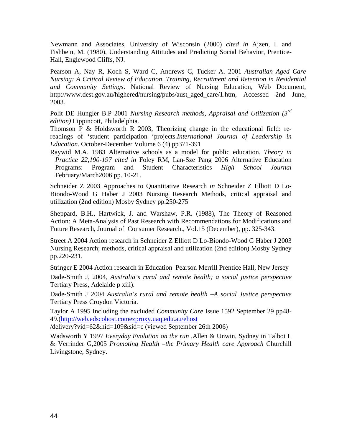Newmann and Associates, University of Wisconsin (2000) *cited in* Ajzen, I. and Fishbein, M. (1980), Understanding Attitudes and Predicting Social Behavior, Prentice-Hall, Englewood Cliffs, NJ.

Pearson A, Nay R, Koch S, Ward C, Andrews C, Tucker A. 2001 *Australian Aged Care Nursing: A Critical Review of Education, Training, Recruitment and Retention in Residential and Community Settings*. National Review of Nursing Education, Web Document, http://www.dest.gov.au/highered/nursing/pubs/aust\_aged\_care/1.htm, Accessed 2nd June, 2003.

Polit DE Hungler B.P 2001 *Nursing Research methods, Appraisal and Utilization (3rd edition)* Lippincott, Philadelphia*.* 

Thomson P & Holdsworth R 2003, Theorizing change in the educational field: rereadings of 'student participation 'projects.*International Journal of Leadership in Education*. October-December Volume 6 (4) pp371-391

Raywid M.A. 1983 Alternative schools as a model for public education. *Theory in Practice 22,190-197 cited in* Foley RM, Lan-Sze Pang 2006 Alternative Education Programs: Program and Student Characteristics *High School Journal*  February/March2006 pp. 10-21.

Schneider Z 2003 Approaches to Quantitative Research *in* Schneider Z Elliott D Lo-Biondo-Wood G Haber J 2003 Nursing Research Methods, critical appraisal and utilization (2nd edition) Mosby Sydney pp.250-275

Sheppard, B.H., Hartwick, J. and Warshaw, P.R. (1988), The Theory of Reasoned Action: A Meta-Analysis of Past Research with Recommendations for Modifications and Future Research, Journal of Consumer Research., Vol.15 (December), pp. 325-343.

Street A 2004 Action research in Schneider Z Elliott D Lo-Biondo-Wood G Haber J 2003 Nursing Research; methods, critical appraisal and utilization (2nd edition) Mosby Sydney pp.220-231.

Stringer E 2004 Action research in Education Pearson Merrill Prentice Hall, New Jersey

Dade-Smith J, 2004, *Australia's rural and remote health; a social justice perspective* Tertiary Press, Adelaide p xiii).

Dade-Smith J 2004 *Australia's rural and remote health –A social Justice perspective*  Tertiary Press Croydon Victoria.

Taylor A 1995 Including the excluded *Community Care* Issue 1592 September 29 pp48- 49.(<http://web.edscohost.comezproxy.uaq.edu.au/ehost>

/delivery?vid=62&hid=109&sid=c (viewed September 26th 2006)

Wadsworth Y 1997 *Everyday Evolution on the run ,*Allen & Unwin, Sydney in Talbot L & Verrinder G,2005 *Promoting Health –the Primary Health care Approach* Churchill Livingstone, Sydney.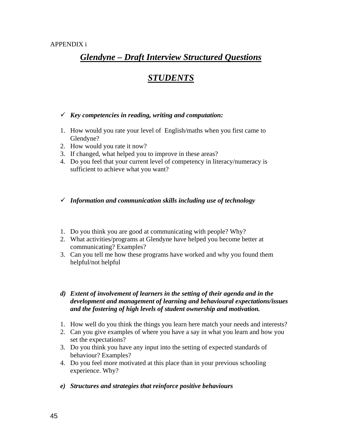# *Glendyne – Draft Interview Structured Questions*

# *STUDENTS*

# 9 *Key competencies in reading, writing and computation:*

- 1. How would you rate your level of English/maths when you first came to Glendyne?
- 2. How would you rate it now?
- 3. If changed, what helped you to improve in these areas?
- 4. Do you feel that your current level of competency in literacy/numeracy is sufficient to achieve what you want?

# 9 *Information and communication skills including use of technology*

- 1. Do you think you are good at communicating with people? Why?
- 2. What activities/programs at Glendyne have helped you become better at communicating? Examples?
- 3. Can you tell me how these programs have worked and why you found them helpful/not helpful

# *d) Extent of involvement of learners in the setting of their agenda and in the development and management of learning and behavioural expectations/issues and the fostering of high levels of student ownership and motivation.*

- 1. How well do you think the things you learn here match your needs and interests?
- 2. Can you give examples of where you have a say in what you learn and how you set the expectations?
- 3. Do you think you have any input into the setting of expected standards of behaviour? Examples?
- 4. Do you feel more motivated at this place than in your previous schooling experience. Why?
- *e) Structures and strategies that reinforce positive behaviours*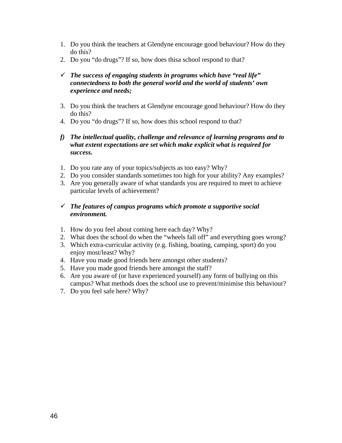- 1. Do you think the teachers at Glendyne encourage good behaviour? How do they do this?
- 2. Do you "do drugs"? If so, how does thisa school respond to that?
- $\checkmark$  The success of engaging students in programs which have "real life" *connectedness to both the general world and the world of students' own experience and needs;*
- 3. Do you think the teachers at Glendyne encourage good behaviour? How do they do this?
- 4. Do you "do drugs"? If so, how does this school respond to that?

# *f) The intellectual quality, challenge and relevance of learning programs and to what extent expectations are set which make explicit what is required for success.*

- 1. Do you rate any of your topics/subjects as too easy? Why?
- 2. Do you consider standards sometimes too high for your ability? Any examples?
- 3. Are you generally aware of what standards you are required to meet to achieve particular levels of achievement?

# 9 *The features of campus programs which promote a supportive social environment.*

- 1. How do you feel about coming here each day? Why?
- 2. What does the school do when the "wheels fall off" and everything goes wrong?
- 3. Which extra-curricular activity (e.g. fishing, boating, camping, sport) do you enjoy most/least? Why?
- 4. Have you made good friends here amongst other students?
- 5. Have you made good friends here amongst the staff?
- 6. Are you aware of (or have experienced yourself) any form of bullying on this campus? What methods does the school use to prevent/minimise this behaviour?
- 7. Do you feel safe here? Why?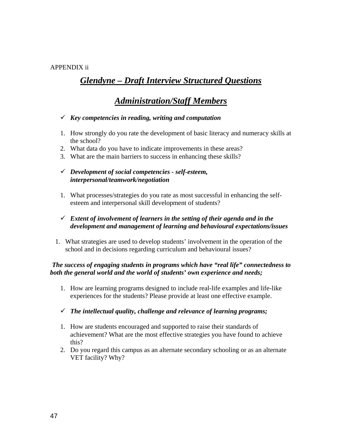# APPENDIX ii

# *Glendyne – Draft Interview Structured Questions*

# *Administration/Staff Members*

## 9 *Key competencies in reading, writing and computation*

- 1. How strongly do you rate the development of basic literacy and numeracy skills at the school?
- 2. What data do you have to indicate improvements in these areas?
- 3. What are the main barriers to success in enhancing these skills?

# 9 *Development of social competencies - self-esteem, interpersonal/teamwork/negotiation*

1. What processes/strategies do you rate as most successful in enhancing the selfesteem and interpersonal skill development of students?

# $\checkmark$  Extent of involvement of learners in the setting of their agenda and in the *development and management of learning and behavioural expectations/issues*

1. What strategies are used to develop students' involvement in the operation of the school and in decisions regarding curriculum and behavioural issues?

# *The success of engaging students in programs which have "real life" connectedness to both the general world and the world of students' own experience and needs;*

1. How are learning programs designed to include real-life examples and life-like experiences for the students? Please provide at least one effective example.

## 9 *The intellectual quality, challenge and relevance of learning programs;*

- 1. How are students encouraged and supported to raise their standards of achievement? What are the most effective strategies you have found to achieve this?
- 2. Do you regard this campus as an alternate secondary schooling or as an alternate VET facility? Why?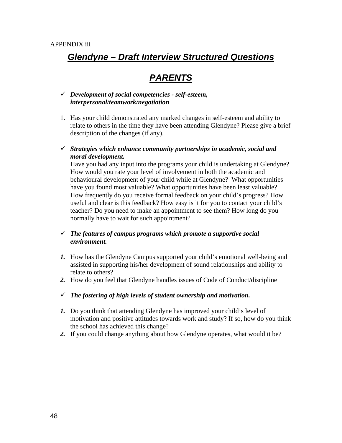# *Glendyne – Draft Interview Structured Questions*

# *PARENTS*

## 9 *Development of social competencies - self-esteem, interpersonal/teamwork/negotiation*

- 1. Has your child demonstrated any marked changes in self-esteem and ability to relate to others in the time they have been attending Glendyne? Please give a brief description of the changes (if any).
- 9 *Strategies which enhance community partnerships in academic, social and moral development.*

Have you had any input into the programs your child is undertaking at Glendyne? How would you rate your level of involvement in both the academic and behavioural development of your child while at Glendyne? What opportunities have you found most valuable? What opportunities have been least valuable? How frequently do you receive formal feedback on your child's progress? How useful and clear is this feedback? How easy is it for you to contact your child's teacher? Do you need to make an appointment to see them? How long do you normally have to wait for such appointment?

# 9 *The features of campus programs which promote a supportive social environment.*

- *1.* How has the Glendyne Campus supported your child's emotional well-being and assisted in supporting his/her development of sound relationships and ability to relate to others?
- *2.* How do you feel that Glendyne handles issues of Code of Conduct/discipline
- $\checkmark$  The fostering of high levels of student ownership and motivation.
- *1.* Do you think that attending Glendyne has improved your child's level of motivation and positive attitudes towards work and study? If so, how do you think the school has achieved this change?
- *2.* If you could change anything about how Glendyne operates, what would it be?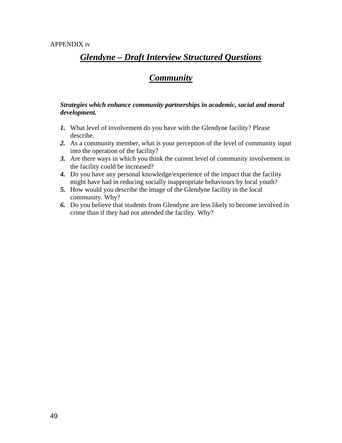# *Glendyne – Draft Interview Structured Questions*

# *Community*

## *Strategies which enhance community partnerships in academic, social and moral development.*

- *1.* What level of involvement do you have with the Glendyne facility? Please describe.
- *2.* As a community member, what is your perception of the level of community input into the operation of the facility?
- *3.* Are there ways in which you think the current level of community involvement in the facility could be increased?
- *4.* Do you have any personal knowledge/experience of the impact that the facility might have had in reducing socially inappropriate behaviours by local youth?
- *5.* How would you describe the image of the Glendyne facility in the local community. Why?
- *6.* Do you believe that students from Glendyne are less likely to become involved in crime than if they had not attended the facility. Why?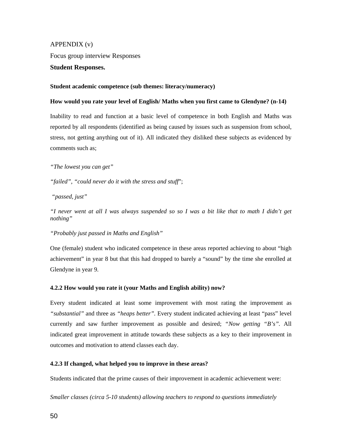#### APPENDIX (v)

Focus group interview Responses

#### **Student Responses.**

#### **Student academic competence (sub themes: literacy/numeracy)**

#### **How would you rate your level of English/ Maths when you first came to Glendyne? (n-14)**

Inability to read and function at a basic level of competence in both English and Maths was reported by all respondents (identified as being caused by issues such as suspension from school, stress, not getting anything out of it). All indicated they disliked these subjects as evidenced by comments such as;

*"The lowest you can get"* 

*"failed", "could never do it with the stress and stuff*";

 *"passed, just"* 

*"I never went at all I was always suspended so so I was a bit like that to math I didn't get nothing"* 

#### *"Probably just passed in Maths and English"*

One (female) student who indicated competence in these areas reported achieving to about "high achievement" in year 8 but that this had dropped to barely a "sound" by the time she enrolled at Glendyne in year 9.

#### **4.2.2 How would you rate it (your Maths and English ability) now?**

Every student indicated at least some improvement with most rating the improvement as *"substantial"* and three as *"heaps better".* Every student indicated achieving at least "pass" level currently and saw further improvement as possible and desired; *"Now getting "B's".* All indicated great improvement in attitude towards these subjects as a key to their improvement in outcomes and motivation to attend classes each day.

#### **4.2.3 If changed, what helped you to improve in these areas?**

Students indicated that the prime causes of their improvement in academic achievement were:

*Smaller classes (circa 5-10 students) allowing teachers to respond to questions immediately*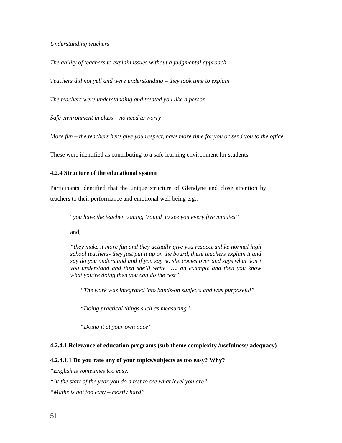*Understanding teachers* 

*The ability of teachers to explain issues without a judgmental approach* 

*Teachers did not yell and were understanding – they took time to explain* 

*The teachers were understanding and treated you like a person* 

*Safe environment in class – no need to worry* 

*More fun – the teachers here give you respect, have more time for you or send you to the office.* 

These were identified as contributing to a safe learning environment for students

#### **4.2.4 Structure of the educational system**

Participants identified that the unique structure of Glendyne and close attention by teachers to their performance and emotional well being e.g.;

"*you have the teacher coming 'round to see you every five minutes"*

and;

*"they make it more fun and they actually give you respect unlike normal high school teachers- they just put it up on the board, these teachers explain it and say do you understand and if you say no she comes over and says what don't you understand and then she'll write …. an example and then you know what you're doing then you can do the rest"* 

*"The work was integrated into hands-on subjects and was purposeful"* 

*"Doing practical things such as measuring"* 

*"Doing it at your own pace"* 

#### **4.2.4.1 Relevance of education programs (sub theme complexity /usefulness/ adequacy)**

#### **4.2.4.1.1 Do you rate any of your topics/subjects as too easy? Why?**

*"English is sometimes too easy."* 

*"At the start of the year you do a test to see what level you are"* 

*"Maths is not too easy – mostly hard"*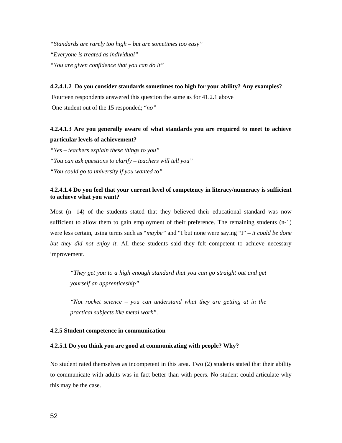*"Standards are rarely too high – but are sometimes too easy" "Everyone is treated as individual" "You are given confidence that you can do it"* 

**4.2.4.1.2 Do you consider standards sometimes too high for your ability? Any examples?**  Fourteen respondents answered this question the same as for 41.2.1 above One student out of the 15 responded; "*no"* 

# **4.2.4.1.3 Are you generally aware of what standards you are required to meet to achieve particular levels of achievement?**

*"Yes – teachers explain these things to you" "You can ask questions to clarify – teachers will tell you" "You could go to university if you wanted to"* 

#### **4.2.4.1.4 Do you feel that your current level of competency in literacy/numeracy is sufficient to achieve what you want?**

Most (n- 14) of the students stated that they believed their educational standard was now sufficient to allow them to gain employment of their preference. The remaining students (n-1) were less certain, using terms such as "*maybe"* and "I but none were saying "I" – *it could be done but they did not enjoy it*. All these students said they felt competent to achieve necessary improvement.

*"They get you to a high enough standard that you can go straight out and get yourself an apprenticeship"* 

*"Not rocket science – you can understand what they are getting at in the practical subjects like metal work".* 

#### **4.2.5 Student competence in communication**

#### **4.2.5.1 Do you think you are good at communicating with people? Why?**

No student rated themselves as incompetent in this area. Two (2) students stated that their ability to communicate with adults was in fact better than with peers. No student could articulate why this may be the case.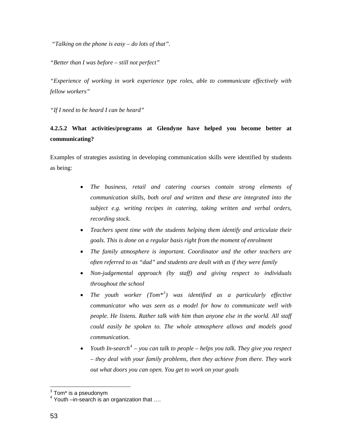*"Talking on the phone is easy – do lots of that".* 

*"Better than I was before – still not perfect"* 

*"Experience of working in work experience type roles, able to communicate effectively with fellow workers"* 

*"If I need to be heard I can be heard"* 

# **4.2.5.2 What activities/programs at Glendyne have helped you become better at communicating?**

Examples of strategies assisting in developing communication skills were identified by students as being:

- *The business, retail and catering courses contain strong elements of communication skills, both oral and written and these are integrated into the subject e.g. writing recipes in catering, taking written and verbal orders, recording stock.*
- *Teachers spent time with the students helping them identify and articulate their goals. This is done on a regular basis right from the moment of enrolment*
- *The family atmosphere is important. Coordinator and the other teachers are often referred to as "dad" and students are dealt with as if they were family*
- *Non-judgemental approach (by staff) and giving respect to individuals throughout the school*
- *The youth worker (Tom\*[3](#page-57-0) ) was identified as a particularly effective communicator who was seen as a model for how to communicate well with people. He listens. Rather talk with him than anyone else in the world. All staff could easily be spoken to. The whole atmosphere allows and models good communication.*
- *Youth In-search<sup>[4](#page-57-1)</sup>* you can talk to people helps you talk. They give you respect *– they deal with your family problems, then they achieve from there. They work out what doors you can open. You get to work on your goals*

<span id="page-57-0"></span> 3 Tom\* is a pseudonym

<span id="page-57-1"></span><sup>4</sup> Youth –in-search is an organization that ….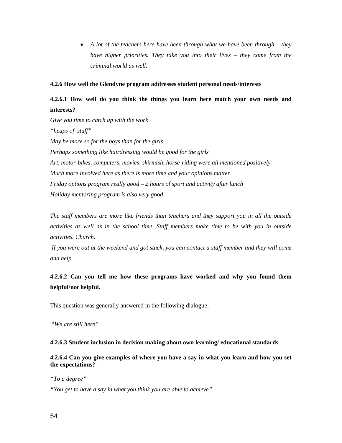• *A lot of the teachers here have been through what we have been through – they have higher priorities. They take you into their lives – they come from the criminal world as well.* 

#### **4.2.6 How well the Glendyne program addresses student personal needs/interests**

# **4.2.6.1 How well do you think the things you learn here match your own needs and interests?**

*Give you time to catch up with the work "heaps of stuff" May be more so for the boys than for the girls Perhaps something like hairdressing would be good for the girls Art, motor-bikes, computers, movies, skirmish, horse-riding were all mentioned positively Much more involved here as there is more time and your opinions matter Friday options program really good – 2 hours of sport and activity after lunch Holiday mentoring program is also very good* 

*The staff members are more like friends than teachers and they support you in all the outside activities as well as in the school time. Staff members make time to be with you in outside activities. Church.* 

 *If you were out at the weekend and got stuck, you can contact a staff member and they will come and help* 

**4.2.6.2 Can you tell me how these programs have worked and why you found them helpful/not helpful.** 

This question was generally answered in the following dialogue;

"*We are still here"* 

#### **4.2.6.3 Student inclusion in decision making about own learning/ educational standards**

**4.2.6.4 Can you give examples of where you have a say in what you learn and how you set the expectations**?

*"To a degree"* 

*"You get to have a say in what you think you are able to achieve"*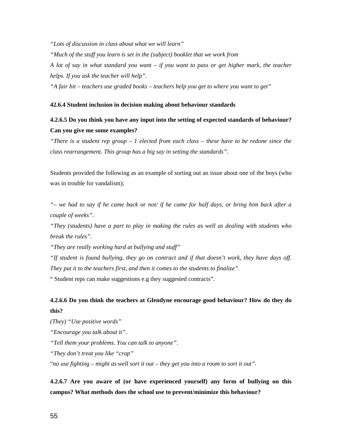*"Lots of discussion in class about what we will learn"* 

*"Much of the stuff you learn is set in the (subject) booklet that we work from* 

*A lot of say in what standard you want – if you want to pass or get higher mark, the teacher helps. If you ask the teacher will help".* 

*"A fair bit – teachers use graded books – teachers help you get to where you want to get"* 

#### **42.6.4 Student inclusion in decision making about behaviour standards**

# **4.2.6.5 Do you think you have any input into the setting of expected standards of behaviour? Can you give me some examples?**

*"There is a student rep group – 1 elected from each class – these have to be redone since the class rearrangement. This group has a big say in setting the standards".* 

Students provided the following as an example of sorting out an issue about one of the boys (who was in trouble for vandalism);

*"– we had to say if he came back or not/ if he came for half days, or bring him back after a couple of weeks".*

*"They (students) have a part to play in making the rules as well as dealing with students who break the rules".* 

*"They are really working hard at bullying and stuff"* 

*"If student is found bullying, they go on contract and if that doesn't work, they have days off. They put it to the teachers first, and then it comes to the students to finalize".* 

" Student reps can make suggestions e.g they suggested contracts".

# **4.2.6.6 Do you think the teachers at Glendyne encourage good behaviour? How do they do this?**

*(They) "Use positive words" "Encourage you talk about it". "Tell them your problems. You can talk to anyone". "They don't treat you like "crap"*  "*no use fighting – might as well sort it out – they get you into a room to sort it out".* 

**4.2.6.7 Are you aware of (or have experienced yourself) any form of bullying on this campus? What methods does the school use to prevent/minimize this behaviour?**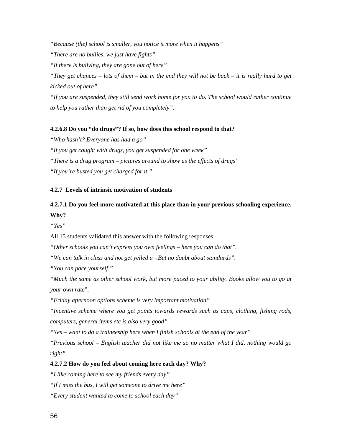*"Because (the) school is smaller, you notice it more when it happens"* 

*"There are no bullies, we just have fights"* 

*"If there is bullying, they are gone out of here"* 

*"They get chances – lots of them – but in the end they will not be back – it is really hard to get kicked out of here"* 

*"If you are suspended, they still send work home for you to do. The school would rather continue to help you rather than get rid of you completely".*

#### **4.2.6.8 Do you "do drugs"? If so, how does this school respond to that?**

*"Who hasn't? Everyone has had a go" "If you get caught with drugs, you get suspended for one week" "There is a drug program – pictures around to show us the effects of drugs" "If you're busted you get charged for it."* 

#### **4.2.7 Levels of intrinsic motivation of students**

# **4.2.7.1 Do you feel more motivated at this place than in your previous schooling experience. Why?**

*"Yes"*

All 15 students validated this answer with the following responses;

*"Other schools you can't express you own feelings – here you can do that".* 

*"We can talk in class and not get yelled a -.But no doubt about standards".* 

*"You can pace yourself."* 

*"Much the same as other school work, but more paced to your ability. Books allow you to go at your own rate*".

*"Friday afternoon options scheme is very important motivation"* 

*"Incentive scheme where you get points towards rewards such as caps, clothing, fishing rods, computers, general items etc is also very good".* 

*"Yes – want to do a traineeship here when I finish schools at the end of the year"* 

*"Previous school – English teacher did not like me so no matter what I did, nothing would go right"* 

#### **4.2.7.2 How do you feel about coming here each day? Why?**

*"I like coming here to see my friends every day"* 

*"If I miss the bus, I will get someone to drive me here"* 

*"Every student wanted to come to school each day"*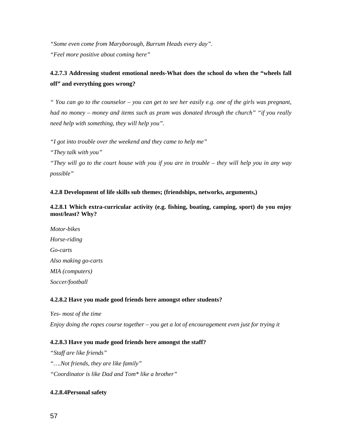*"Some even come from Maryborough, Burrum Heads every day". "Feel more positive about coming here"* 

# **4.2.7.3 Addressing student emotional needs-What does the school do when the "wheels fall off" and everything goes wrong?**

*" You can go to the counselor – you can get to see her easily e.g. one of the girls was pregnant, had no money – money and items such as pram was donated through the church" "if you really need help with something, they will help you".* 

*"I got into trouble over the weekend and they came to help me"* 

*"They talk with you"* 

*"They will go to the court house with you if you are in trouble – they will help you in any way possible"* 

## **4.2.8 Development of life skills sub themes; (friendships, networks, arguments,)**

**4.2.8.1 Which extra-curricular activity (e.g. fishing, boating, camping, sport) do you enjoy most/least? Why?** 

*Motor-bikes Horse-riding Go-carts Also making go-carts MIA (computers) Soccer/football* 

#### **4.2.8.2 Have you made good friends here amongst other students?**

*Yes- most of the time Enjoy doing the ropes course together – you get a lot of encouragement even just for trying it* 

#### **4.2.8.3 Have you made good friends here amongst the staff?**

*"Staff are like friends" "….Not friends, they are like family" "Coordinator is like Dad and Tom\* like a brother"* 

#### **4.2.8.4Personal safety**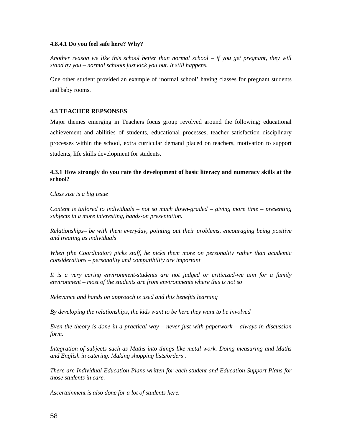#### **4.8.4.1 Do you feel safe here? Why?**

*Another reason we like this school better than normal school – if you get pregnant, they will stand by you – normal schools just kick you out. It still happens.* 

One other student provided an example of 'normal school' having classes for pregnant students and baby rooms.

#### **4.3 TEACHER REPSONSES**

Major themes emerging in Teachers focus group revolved around the following; educational achievement and abilities of students, educational processes, teacher satisfaction disciplinary processes within the school, extra curricular demand placed on teachers, motivation to support students, life skills development for students.

### **4.3.1 How strongly do you rate the development of basic literacy and numeracy skills at the school?**

*Class size is a big issue* 

*Content is tailored to individuals – not so much down-graded – giving more time – presenting subjects in a more interesting, hands-on presentation.* 

*Relationships– be with them everyday, pointing out their problems, encouraging being positive and treating as individuals* 

*When (the Coordinator) picks staff, he picks them more on personality rather than academic considerations – personality and compatibility are important* 

*It is a very caring environment-students are not judged or criticized-we aim for a family environment – most of the students are from environments where this is not so* 

*Relevance and hands on approach is used and this benefits learning* 

*By developing the relationships, the kids want to be here they want to be involved* 

*Even the theory is done in a practical way – never just with paperwork – always in discussion form.* 

*Integration of subjects such as Maths into things like metal work. Doing measuring and Maths and English in catering. Making shopping lists/orders .* 

*There are Individual Education Plans written for each student and Education Support Plans for those students in care.* 

*Ascertainment is also done for a lot of students here.*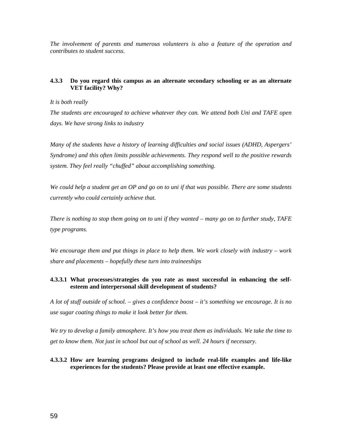*The involvement of parents and numerous volunteers is also a feature of the operation and contributes to student success.* 

#### **4.3.3 Do you regard this campus as an alternate secondary schooling or as an alternate VET facility? Why?**

#### *It is both really*

*The students are encouraged to achieve whatever they can. We attend both Uni and TAFE open days. We have strong links to industry* 

*Many of the students have a history of learning difficulties and social issues (ADHD, Aspergers' Syndrome) and this often limits possible achievements. They respond well to the positive rewards system. They feel really "chuffed" about accomplishing something.* 

*We could help a student get an OP and go on to uni if that was possible. There are some students currently who could certainly achieve that.* 

*There is nothing to stop them going on to uni if they wanted – many go on to further study, TAFE type programs.* 

*We encourage them and put things in place to help them. We work closely with industry – work share and placements – hopefully these turn into traineeships* 

#### **4.3.3.1 What processes/strategies do you rate as most successful in enhancing the selfesteem and interpersonal skill development of students?**

*A lot of stuff outside of school. – gives a confidence boost – it's something we encourage. It is no use sugar coating things to make it look better for them.* 

*We try to develop a family atmosphere. It's how you treat them as individuals. We take the time to get to know them. Not just in school but out of school as well. 24 hours if necessary.* 

#### **4.3.3.2 How are learning programs designed to include real-life examples and life-like experiences for the students? Please provide at least one effective example.**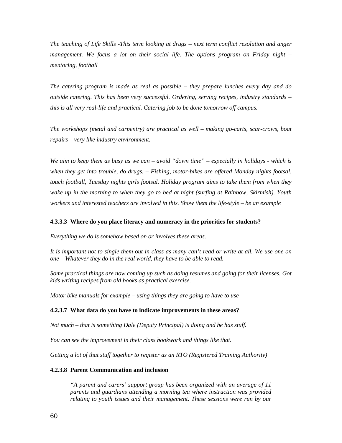*The teaching of Life Skills -This term looking at drugs – next term conflict resolution and anger management. We focus a lot on their social life. The options program on Friday night – mentoring, football* 

*The catering program is made as real as possible – they prepare lunches every day and do outside catering. This has been very successful. Ordering, serving recipes, industry standards – this is all very real-life and practical. Catering job to be done tomorrow off campus.* 

*The workshops (metal and carpentry) are practical as well – making go-carts, scar-crows, boat repairs – very like industry environment.* 

*We aim to keep them as busy as we can – avoid "down time" – especially in holidays - which is when they get into trouble, do drugs. – Fishing, motor-bikes are offered Monday nights footsal, touch football, Tuesday nights girls footsal. Holiday program aims to take them from when they wake up in the morning to when they go to bed at night (surfing at Rainbow, Skirmish). Youth workers and interested teachers are involved in this. Show them the life-style – be an example* 

#### **4.3.3.3 Where do you place literacy and numeracy in the priorities for students?**

*Everything we do is somehow based on or involves these areas.* 

*It is important not to single them out in class as many can't read or write at all. We use one on one – Whatever they do in the real world, they have to be able to read.* 

*Some practical things are now coming up such as doing resumes and going for their licenses. Got kids writing recipes from old books as practical exercise.* 

*Motor bike manuals for example – using things they are going to have to use* 

#### **4.2.3.7 What data do you have to indicate improvements in these areas?**

*Not much – that is something Dale (Deputy Principal) is doing and he has stuff.* 

*You can see the improvement in their class bookwork and things like that.* 

*Getting a lot of that stuff together to register as an RTO (Registered Training Authority)* 

#### **4.2.3.8 Parent Communication and inclusion**

*"A parent and carers' support group has been organized with an average of 11 parents and guardians attending a morning tea where instruction was provided relating to youth issues and their management*. *These sessions were run by our*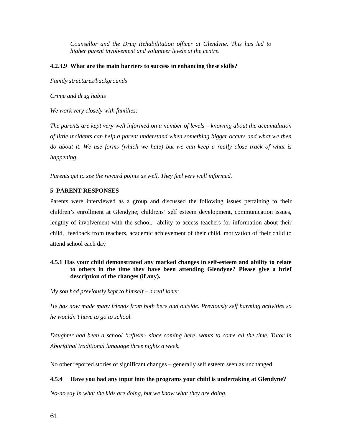*Counsellor and the Drug Rehabilitation officer at Glendyne. This has led to higher parent involvement and volunteer levels at the centre.* 

#### **4.2.3.9 What are the main barriers to success in enhancing these skills?**

*Family structures/backgrounds* 

*Crime and drug habits* 

*We work very closely with families:* 

*The parents are kept very well informed on a number of levels – knowing about the accumulation of little incidents can help a parent understand when something bigger occurs and what we then do about it. We use forms (which we hate) but we can keep a really close track of what is happening.* 

*Parents get to see the reward points as well. They feel very well informed.* 

#### **5 PARENT RESPONSES**

Parents were interviewed as a group and discussed the following issues pertaining to their children's enrollment at Glendyne; childrens' self esteem development, communication issues, lengthy of involvement with the school, ability to access teachers for information about their child, feedback from teachers, academic achievement of their child, motivation of their child to attend school each day

#### **4.5.1 Has your child demonstrated any marked changes in self-esteem and ability to relate to others in the time they have been attending Glendyne? Please give a brief description of the changes (if any).**

*My son had previously kept to himself – a real loner.* 

*He has now made many friends from both here and outside. Previously self harming activities so he wouldn't have to go to school.* 

*Daughter had been a school 'refuser- since coming here, wants to come all the time. Tutor in Aboriginal traditional language three nights a week.* 

No other reported stories of significant changes – generally self esteem seen as unchanged

#### **4.5.4 Have you had any input into the programs your child is undertaking at Glendyne?**

*No-no say in what the kids are doing, but we know what they are doing.*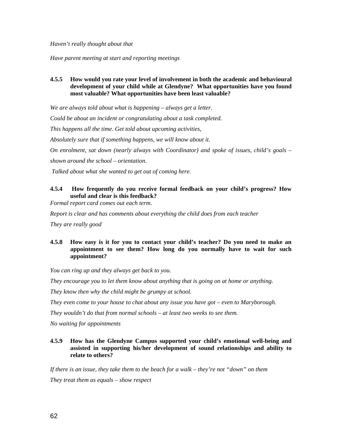*Haven't really thought about that* 

*Have parent meeting at start and reporting meetings* 

## **4.5.5 How would you rate your level of involvement in both the academic and behavioural development of your child while at Glendyne? What opportunities have you found most valuable? What opportunities have been least valuable?**

*We are always told about what is happening – always get a letter.* 

*Could be about an incident or congratulating about a task completed.* 

*This happens all the time. Get told about upcoming activities,* 

*Absolutely sure that if something happens, we will know about it.* 

*On enrolment, sat down (nearly always with Coordinator) and spoke of issues, child's goals –* 

*shown around the school – orientation.* 

 *Talked about what she wanted to get out of coming here.* 

## **4.5.4 How frequently do you receive formal feedback on your child's progress? How useful and clear is this feedback?**

*Formal report card comes out each term.* 

*Report is clear and has comments about everything the child does from each teacher* 

*They are really good* 

#### **4.5.8 How easy is it for you to contact your child's teacher? Do you need to make an appointment to see them? How long do you normally have to wait for such appointment?**

*You can ring up and they always get back to you.* 

*They encourage you to let them know about anything that is going on at home or anything.* 

*They know then why the child might be grumpy at school.* 

*They even come to your house to chat about any issue you have got – even to Maryborough.* 

*They wouldn't do that from normal schools – at least two weeks to see them.* 

*No waiting for appointments*

### **4.5.9 How has the Glendyne Campus supported your child's emotional well-being and assisted in supporting his/her development of sound relationships and ability to relate to others?**

*If there is an issue, they take them to the beach for a walk – they're not "down" on them They treat them as equals – show respect*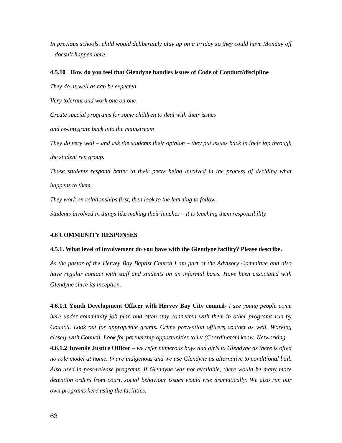*In previous schools, child would deliberately play up on a Friday so they could have Monday off – doesn't happen here.* 

#### **4.5.10 How do you feel that Glendyne handles issues of Code of Conduct/discipline**

*They do as well as can be expected* 

*Very tolerant and work one on one* 

*Create special programs for some children to deal with their issues* 

*and re-integrate back into the mainstream* 

*They do very well – and ask the students their opinion – they put issues back in their lap through the student rep group.* 

*Those students respond better to their peers being involved in the process of deciding what happens to them.* 

*They work on relationships first, then look to the learning to follow.* 

*Students involved in things like making their lunches – it is teaching them responsibility* 

#### **4.6 COMMUNITY RESPONSES**

#### **4.5.1. What level of involvement do you have with the Glendyne facility? Please describe.**

*As the pastor of the Hervey Bay Baptist Church I am part of the Advisory Committee and also have regular contact with staff and students on an informal basis. Have been associated with Glendyne since its inception.* 

**4.6.1.1 Youth Development Officer with Hervey Bay City council***- I see young people come here under community job plan and often stay connected with them in other programs run by Council. Look out for appropriate grants. Crime prevention officers contact as well. Working closely with Council. Look for partnership opportunities to let (Coordinator) know. Networking.* 

**4.6.1.2 Juvenile Justice Officer** *– we refer numerous boys and girls to Glendyne as there is often no role model at home. ¼ are indigenous and we use Glendyne as alternative to conditional bail. Also used in post-release programs. If Glendyne was not available, there would be many more detention orders from court, social behaviour issues would rise dramatically. We also run our own programs here using the facilities.*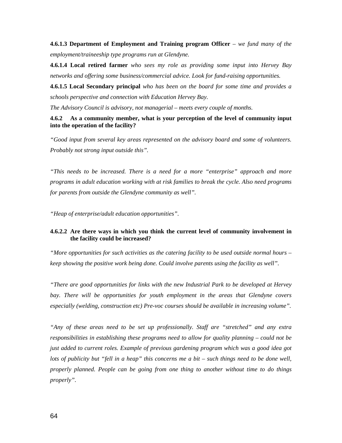**4.6.1.3 Department of Employment and Training program Officer** *– we fund many of the employment/traineeship type programs run at Glendyne.* 

**4.6.1.4 Local retired farmer** *who sees my role as providing some input into Hervey Bay networks and offering some business/commercial advice. Look for fund-raising opportunities.* 

**4.6.1.5 Local Secondary principal** *who has been on the board for some time and provides a schools perspective and connection with Education Hervey Bay.* 

*The Advisory Council is advisory, not managerial – meets every couple of months.* 

#### **4.6.2 As a community member, what is your perception of the level of community input into the operation of the facility?**

*"Good input from several key areas represented on the advisory board and some of volunteers. Probably not strong input outside this".* 

*"This needs to be increased. There is a need for a more "enterprise" approach and more programs in adult education working with at risk families to break the cycle. Also need programs for parents from outside the Glendyne community as well".* 

*"Heap of enterprise/adult education opportunities".* 

#### **4.6.2.2 Are there ways in which you think the current level of community involvement in the facility could be increased?**

*"More opportunities for such activities as the catering facility to be used outside normal hours – keep showing the positive work being done. Could involve parents using the facility as well".* 

*"There are good opportunities for links with the new Industrial Park to be developed at Hervey*  bay. There will be opportunities for youth employment in the areas that Glendyne covers *especially (welding, construction etc) Pre-voc courses should be available in increasing volume".* 

*"Any of these areas need to be set up professionally. Staff are "stretched" and any extra responsibilities in establishing these programs need to allow for quality planning – could not be just added to current roles. Example of previous gardening program which was a good idea got lots of publicity but "fell in a heap" this concerns me a bit – such things need to be done well, properly planned. People can be going from one thing to another without time to do things properly".*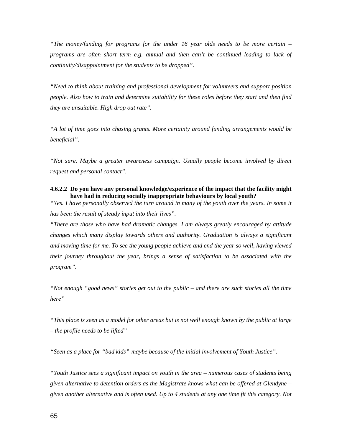*"The money/funding for programs for the under 16 year olds needs to be more certain – programs are often short term e.g. annual and then can't be continued leading to lack of continuity/disappointment for the students to be dropped".* 

*"Need to think about training and professional development for volunteers and support position people. Also how to train and determine suitability for these roles before they start and then find they are unsuitable. High drop out rate".* 

*"A lot of time goes into chasing grants. More certainty around funding arrangements would be beneficial".* 

*"Not sure. Maybe a greater awareness campaign. Usually people become involved by direct request and personal contact".* 

#### **4.6.2.2 Do you have any personal knowledge/experience of the impact that the facility might have had in reducing socially inappropriate behaviours by local youth?**

*"Yes. I have personally observed the turn around in many of the youth over the years. In some it has been the result of steady input into their lives".* 

*"There are those who have had dramatic changes. I am always greatly encouraged by attitude changes which many display towards others and authority. Graduation is always a significant and moving time for me. To see the young people achieve and end the year so well, having viewed their journey throughout the year, brings a sense of satisfaction to be associated with the program".* 

*"Not enough "good news" stories get out to the public – and there are such stories all the time here"* 

*"This place is seen as a model for other areas but is not well enough known by the public at large – the profile needs to be lifted"* 

*"Seen as a place for "bad kids"-maybe because of the initial involvement of Youth Justice".* 

*"Youth Justice sees a significant impact on youth in the area – numerous cases of students being given alternative to detention orders as the Magistrate knows what can be offered at Glendyne – given another alternative and is often used. Up to 4 students at any one time fit this category. Not*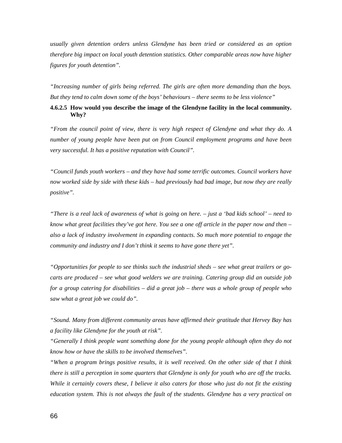*usually given detention orders unless Glendyne has been tried or considered as an option therefore big impact on local youth detention statistics. Other comparable areas now have higher figures for youth detention".* 

*"Increasing number of girls being referred. The girls are often more demanding than the boys. But they tend to calm down some of the boys' behaviours – there seems to be less violence"* 

#### **4.6.2.5 How would you describe the image of the Glendyne facility in the local community. Why?**

*"From the council point of view, there is very high respect of Glendyne and what they do. A number of young people have been put on from Council employment programs and have been very successful. It has a positive reputation with Council".* 

*"Council funds youth workers – and they have had some terrific outcomes. Council workers have now worked side by side with these kids – had previously had bad image, but now they are really positive".* 

*"There is a real lack of awareness of what is going on here. – just a 'bad kids school' – need to know what great facilities they've got here. You see a one off article in the paper now and then – also a lack of industry involvement in expanding contacts. So much more potential to engage the community and industry and I don't think it seems to have gone there yet".* 

*"Opportunities for people to see thinks such the industrial sheds – see what great trailers or gocarts are produced – see what good welders we are training. Catering group did an outside job for a group catering for disabilities – did a great job – there was a whole group of people who saw what a great job we could do".* 

*"Sound. Many from different community areas have affirmed their gratitude that Hervey Bay has a facility like Glendyne for the youth at risk".* 

*"Generally I think people want something done for the young people although often they do not know how or have the skills to be involved themselves".* 

*"When a program brings positive results, it is well received. On the other side of that I think there is still a perception in some quarters that Glendyne is only for youth who are off the tracks. While it certainly covers these, I believe it also caters for those who just do not fit the existing education system. This is not always the fault of the students. Glendyne has a very practical on*